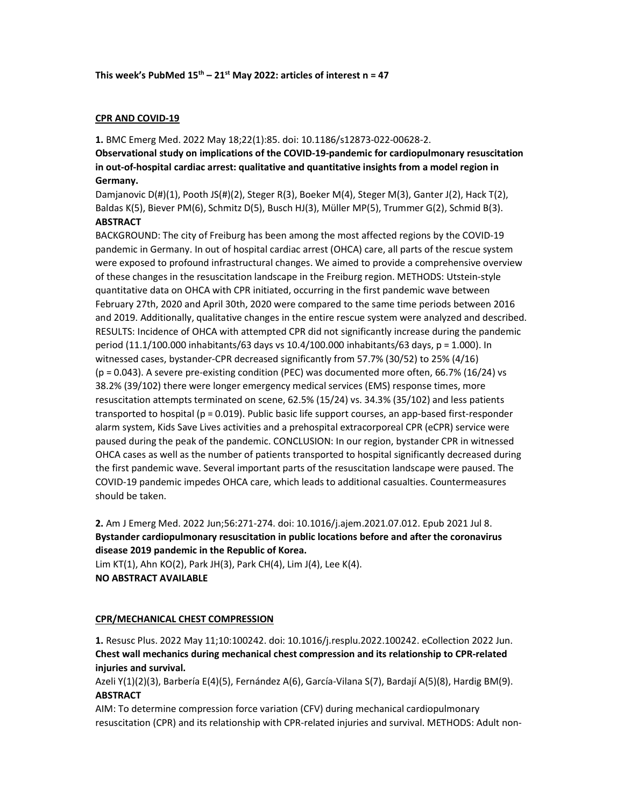#### This week's PubMed  $15<sup>th</sup> - 21<sup>st</sup>$  May 2022: articles of interest n = 47

## CPR AND COVID-19

1. BMC Emerg Med. 2022 May 18;22(1):85. doi: 10.1186/s12873-022-00628-2.

Observational study on implications of the COVID-19-pandemic for cardiopulmonary resuscitation in out-of-hospital cardiac arrest: qualitative and quantitative insights from a model region in Germany.

Damjanovic D(#)(1), Pooth JS(#)(2), Steger R(3), Boeker M(4), Steger M(3), Ganter J(2), Hack T(2), Baldas K(5), Biever PM(6), Schmitz D(5), Busch HJ(3), Müller MP(5), Trummer G(2), Schmid B(3). **ABSTRACT** 

BACKGROUND: The city of Freiburg has been among the most affected regions by the COVID-19 pandemic in Germany. In out of hospital cardiac arrest (OHCA) care, all parts of the rescue system were exposed to profound infrastructural changes. We aimed to provide a comprehensive overview of these changes in the resuscitation landscape in the Freiburg region. METHODS: Utstein-style quantitative data on OHCA with CPR initiated, occurring in the first pandemic wave between February 27th, 2020 and April 30th, 2020 were compared to the same time periods between 2016 and 2019. Additionally, qualitative changes in the entire rescue system were analyzed and described. RESULTS: Incidence of OHCA with attempted CPR did not significantly increase during the pandemic period (11.1/100.000 inhabitants/63 days vs 10.4/100.000 inhabitants/63 days, p = 1.000). In witnessed cases, bystander-CPR decreased significantly from 57.7% (30/52) to 25% (4/16)  $(p = 0.043)$ . A severe pre-existing condition (PEC) was documented more often, 66.7% (16/24) vs 38.2% (39/102) there were longer emergency medical services (EMS) response times, more resuscitation attempts terminated on scene, 62.5% (15/24) vs. 34.3% (35/102) and less patients transported to hospital ( $p = 0.019$ ). Public basic life support courses, an app-based first-responder alarm system, Kids Save Lives activities and a prehospital extracorporeal CPR (eCPR) service were paused during the peak of the pandemic. CONCLUSION: In our region, bystander CPR in witnessed OHCA cases as well as the number of patients transported to hospital significantly decreased during the first pandemic wave. Several important parts of the resuscitation landscape were paused. The COVID-19 pandemic impedes OHCA care, which leads to additional casualties. Countermeasures should be taken.

2. Am J Emerg Med. 2022 Jun;56:271-274. doi: 10.1016/j.ajem.2021.07.012. Epub 2021 Jul 8. Bystander cardiopulmonary resuscitation in public locations before and after the coronavirus disease 2019 pandemic in the Republic of Korea.

Lim KT(1), Ahn KO(2), Park JH(3), Park CH(4), Lim J(4), Lee K(4). NO ABSTRACT AVAILABLE

## CPR/MECHANICAL CHEST COMPRESSION

1. Resusc Plus. 2022 May 11;10:100242. doi: 10.1016/j.resplu.2022.100242. eCollection 2022 Jun. Chest wall mechanics during mechanical chest compression and its relationship to CPR-related injuries and survival.

Azeli Y(1)(2)(3), Barbería E(4)(5), Fernández A(6), García-Vilana S(7), Bardají A(5)(8), Hardig BM(9). ABSTRACT

AIM: To determine compression force variation (CFV) during mechanical cardiopulmonary resuscitation (CPR) and its relationship with CPR-related injuries and survival. METHODS: Adult non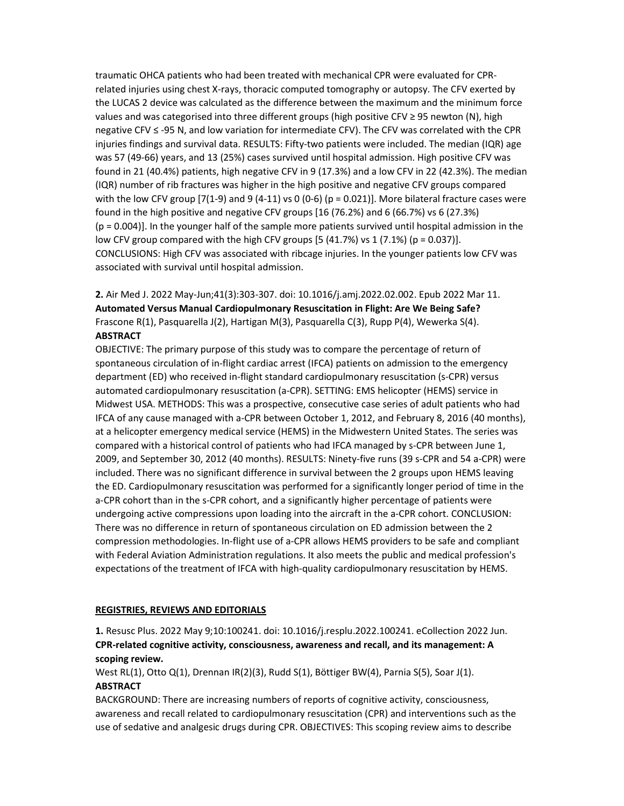traumatic OHCA patients who had been treated with mechanical CPR were evaluated for CPRrelated injuries using chest X-rays, thoracic computed tomography or autopsy. The CFV exerted by the LUCAS 2 device was calculated as the difference between the maximum and the minimum force values and was categorised into three different groups (high positive CFV ≥ 95 newton (N), high negative CFV ≤ -95 N, and low variation for intermediate CFV). The CFV was correlated with the CPR injuries findings and survival data. RESULTS: Fifty-two patients were included. The median (IQR) age was 57 (49-66) years, and 13 (25%) cases survived until hospital admission. High positive CFV was found in 21 (40.4%) patients, high negative CFV in 9 (17.3%) and a low CFV in 22 (42.3%). The median (IQR) number of rib fractures was higher in the high positive and negative CFV groups compared with the low CFV group  $(7(1-9)$  and 9  $(4-11)$  vs 0  $(0-6)$   $(p = 0.021)$ ]. More bilateral fracture cases were found in the high positive and negative CFV groups [16 (76.2%) and 6 (66.7%) vs 6 (27.3%)  $(p = 0.004)$ ]. In the younger half of the sample more patients survived until hospital admission in the low CFV group compared with the high CFV groups  $[5 (41.7%)$  vs  $1 (7.1%)$   $(p = 0.037)$ ]. CONCLUSIONS: High CFV was associated with ribcage injuries. In the younger patients low CFV was associated with survival until hospital admission.

2. Air Med J. 2022 May-Jun;41(3):303-307. doi: 10.1016/j.amj.2022.02.002. Epub 2022 Mar 11. Automated Versus Manual Cardiopulmonary Resuscitation in Flight: Are We Being Safe? Frascone R(1), Pasquarella J(2), Hartigan M(3), Pasquarella C(3), Rupp P(4), Wewerka S(4). **ABSTRACT** 

OBJECTIVE: The primary purpose of this study was to compare the percentage of return of spontaneous circulation of in-flight cardiac arrest (IFCA) patients on admission to the emergency department (ED) who received in-flight standard cardiopulmonary resuscitation (s-CPR) versus automated cardiopulmonary resuscitation (a-CPR). SETTING: EMS helicopter (HEMS) service in Midwest USA. METHODS: This was a prospective, consecutive case series of adult patients who had IFCA of any cause managed with a-CPR between October 1, 2012, and February 8, 2016 (40 months), at a helicopter emergency medical service (HEMS) in the Midwestern United States. The series was compared with a historical control of patients who had IFCA managed by s-CPR between June 1, 2009, and September 30, 2012 (40 months). RESULTS: Ninety-five runs (39 s-CPR and 54 a-CPR) were included. There was no significant difference in survival between the 2 groups upon HEMS leaving the ED. Cardiopulmonary resuscitation was performed for a significantly longer period of time in the a-CPR cohort than in the s-CPR cohort, and a significantly higher percentage of patients were undergoing active compressions upon loading into the aircraft in the a-CPR cohort. CONCLUSION: There was no difference in return of spontaneous circulation on ED admission between the 2 compression methodologies. In-flight use of a-CPR allows HEMS providers to be safe and compliant with Federal Aviation Administration regulations. It also meets the public and medical profession's expectations of the treatment of IFCA with high-quality cardiopulmonary resuscitation by HEMS.

## REGISTRIES, REVIEWS AND EDITORIALS

1. Resusc Plus. 2022 May 9;10:100241. doi: 10.1016/j.resplu.2022.100241. eCollection 2022 Jun. CPR-related cognitive activity, consciousness, awareness and recall, and its management: A scoping review.

West RL(1), Otto Q(1), Drennan IR(2)(3), Rudd S(1), Böttiger BW(4), Parnia S(5), Soar J(1). **ABSTRACT** 

BACKGROUND: There are increasing numbers of reports of cognitive activity, consciousness, awareness and recall related to cardiopulmonary resuscitation (CPR) and interventions such as the use of sedative and analgesic drugs during CPR. OBJECTIVES: This scoping review aims to describe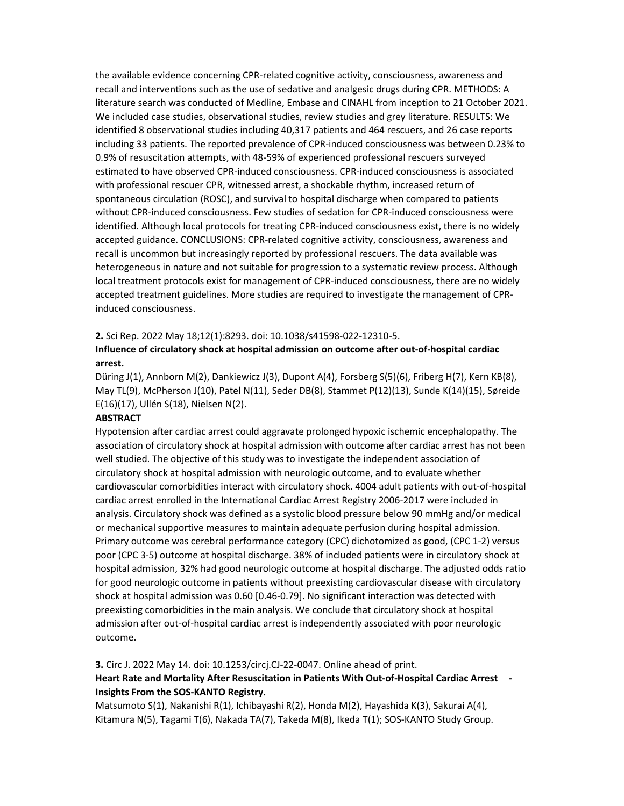the available evidence concerning CPR-related cognitive activity, consciousness, awareness and recall and interventions such as the use of sedative and analgesic drugs during CPR. METHODS: A literature search was conducted of Medline, Embase and CINAHL from inception to 21 October 2021. We included case studies, observational studies, review studies and grey literature. RESULTS: We identified 8 observational studies including 40,317 patients and 464 rescuers, and 26 case reports including 33 patients. The reported prevalence of CPR-induced consciousness was between 0.23% to 0.9% of resuscitation attempts, with 48-59% of experienced professional rescuers surveyed estimated to have observed CPR-induced consciousness. CPR-induced consciousness is associated with professional rescuer CPR, witnessed arrest, a shockable rhythm, increased return of spontaneous circulation (ROSC), and survival to hospital discharge when compared to patients without CPR-induced consciousness. Few studies of sedation for CPR-induced consciousness were identified. Although local protocols for treating CPR-induced consciousness exist, there is no widely accepted guidance. CONCLUSIONS: CPR-related cognitive activity, consciousness, awareness and recall is uncommon but increasingly reported by professional rescuers. The data available was heterogeneous in nature and not suitable for progression to a systematic review process. Although local treatment protocols exist for management of CPR-induced consciousness, there are no widely accepted treatment guidelines. More studies are required to investigate the management of CPRinduced consciousness.

#### 2. Sci Rep. 2022 May 18;12(1):8293. doi: 10.1038/s41598-022-12310-5.

# Influence of circulatory shock at hospital admission on outcome after out-of-hospital cardiac arrest.

Düring J(1), Annborn M(2), Dankiewicz J(3), Dupont A(4), Forsberg S(5)(6), Friberg H(7), Kern KB(8), May TL(9), McPherson J(10), Patel N(11), Seder DB(8), Stammet P(12)(13), Sunde K(14)(15), Søreide E(16)(17), Ullén S(18), Nielsen N(2).

#### **ABSTRACT**

Hypotension after cardiac arrest could aggravate prolonged hypoxic ischemic encephalopathy. The association of circulatory shock at hospital admission with outcome after cardiac arrest has not been well studied. The objective of this study was to investigate the independent association of circulatory shock at hospital admission with neurologic outcome, and to evaluate whether cardiovascular comorbidities interact with circulatory shock. 4004 adult patients with out-of-hospital cardiac arrest enrolled in the International Cardiac Arrest Registry 2006-2017 were included in analysis. Circulatory shock was defined as a systolic blood pressure below 90 mmHg and/or medical or mechanical supportive measures to maintain adequate perfusion during hospital admission. Primary outcome was cerebral performance category (CPC) dichotomized as good, (CPC 1-2) versus poor (CPC 3-5) outcome at hospital discharge. 38% of included patients were in circulatory shock at hospital admission, 32% had good neurologic outcome at hospital discharge. The adjusted odds ratio for good neurologic outcome in patients without preexisting cardiovascular disease with circulatory shock at hospital admission was 0.60 [0.46-0.79]. No significant interaction was detected with preexisting comorbidities in the main analysis. We conclude that circulatory shock at hospital admission after out-of-hospital cardiac arrest is independently associated with poor neurologic outcome.

3. Circ J. 2022 May 14. doi: 10.1253/circj.CJ-22-0047. Online ahead of print.

# Heart Rate and Mortality After Resuscitation in Patients With Out-of-Hospital Cardiac Arrest - Insights From the SOS-KANTO Registry.

Matsumoto S(1), Nakanishi R(1), Ichibayashi R(2), Honda M(2), Hayashida K(3), Sakurai A(4), Kitamura N(5), Tagami T(6), Nakada TA(7), Takeda M(8), Ikeda T(1); SOS-KANTO Study Group.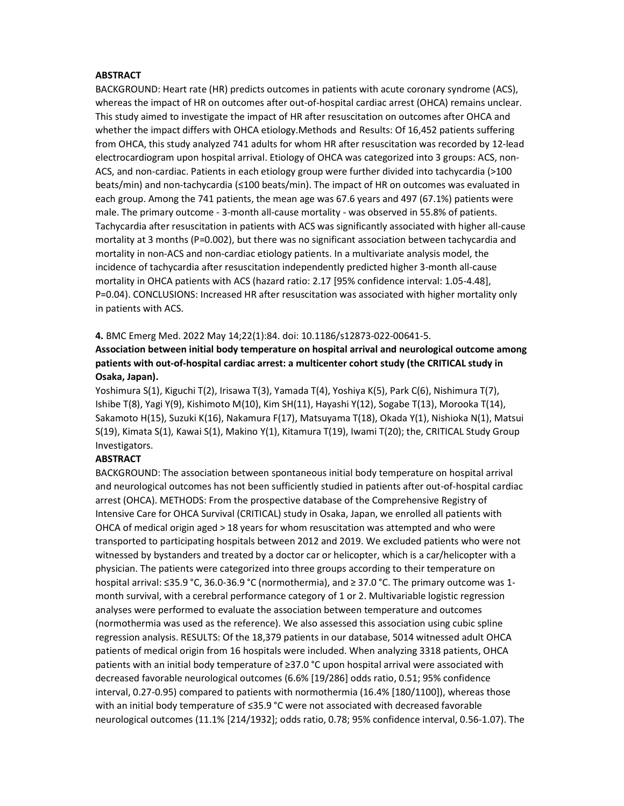#### **ABSTRACT**

BACKGROUND: Heart rate (HR) predicts outcomes in patients with acute coronary syndrome (ACS), whereas the impact of HR on outcomes after out-of-hospital cardiac arrest (OHCA) remains unclear. This study aimed to investigate the impact of HR after resuscitation on outcomes after OHCA and whether the impact differs with OHCA etiology.Methods and Results: Of 16,452 patients suffering from OHCA, this study analyzed 741 adults for whom HR after resuscitation was recorded by 12-lead electrocardiogram upon hospital arrival. Etiology of OHCA was categorized into 3 groups: ACS, non-ACS, and non-cardiac. Patients in each etiology group were further divided into tachycardia (>100 beats/min) and non-tachycardia (≤100 beats/min). The impact of HR on outcomes was evaluated in each group. Among the 741 patients, the mean age was 67.6 years and 497 (67.1%) patients were male. The primary outcome - 3-month all-cause mortality - was observed in 55.8% of patients. Tachycardia after resuscitation in patients with ACS was significantly associated with higher all-cause mortality at 3 months (P=0.002), but there was no significant association between tachycardia and mortality in non-ACS and non-cardiac etiology patients. In a multivariate analysis model, the incidence of tachycardia after resuscitation independently predicted higher 3-month all-cause mortality in OHCA patients with ACS (hazard ratio: 2.17 [95% confidence interval: 1.05-4.48], P=0.04). CONCLUSIONS: Increased HR after resuscitation was associated with higher mortality only in patients with ACS.

4. BMC Emerg Med. 2022 May 14;22(1):84. doi: 10.1186/s12873-022-00641-5.

Association between initial body temperature on hospital arrival and neurological outcome among patients with out-of-hospital cardiac arrest: a multicenter cohort study (the CRITICAL study in Osaka, Japan).

Yoshimura S(1), Kiguchi T(2), Irisawa T(3), Yamada T(4), Yoshiya K(5), Park C(6), Nishimura T(7), Ishibe T(8), Yagi Y(9), Kishimoto M(10), Kim SH(11), Hayashi Y(12), Sogabe T(13), Morooka T(14), Sakamoto H(15), Suzuki K(16), Nakamura F(17), Matsuyama T(18), Okada Y(1), Nishioka N(1), Matsui S(19), Kimata S(1), Kawai S(1), Makino Y(1), Kitamura T(19), Iwami T(20); the, CRITICAL Study Group Investigators.

# **ABSTRACT**

BACKGROUND: The association between spontaneous initial body temperature on hospital arrival and neurological outcomes has not been sufficiently studied in patients after out-of-hospital cardiac arrest (OHCA). METHODS: From the prospective database of the Comprehensive Registry of Intensive Care for OHCA Survival (CRITICAL) study in Osaka, Japan, we enrolled all patients with OHCA of medical origin aged > 18 years for whom resuscitation was attempted and who were transported to participating hospitals between 2012 and 2019. We excluded patients who were not witnessed by bystanders and treated by a doctor car or helicopter, which is a car/helicopter with a physician. The patients were categorized into three groups according to their temperature on hospital arrival: ≤35.9 °C, 36.0-36.9 °C (normothermia), and ≥ 37.0 °C. The primary outcome was 1 month survival, with a cerebral performance category of 1 or 2. Multivariable logistic regression analyses were performed to evaluate the association between temperature and outcomes (normothermia was used as the reference). We also assessed this association using cubic spline regression analysis. RESULTS: Of the 18,379 patients in our database, 5014 witnessed adult OHCA patients of medical origin from 16 hospitals were included. When analyzing 3318 patients, OHCA patients with an initial body temperature of ≥37.0 °C upon hospital arrival were associated with decreased favorable neurological outcomes (6.6% [19/286] odds ratio, 0.51; 95% confidence interval, 0.27-0.95) compared to patients with normothermia (16.4% [180/1100]), whereas those with an initial body temperature of ≤35.9 °C were not associated with decreased favorable neurological outcomes (11.1% [214/1932]; odds ratio, 0.78; 95% confidence interval, 0.56-1.07). The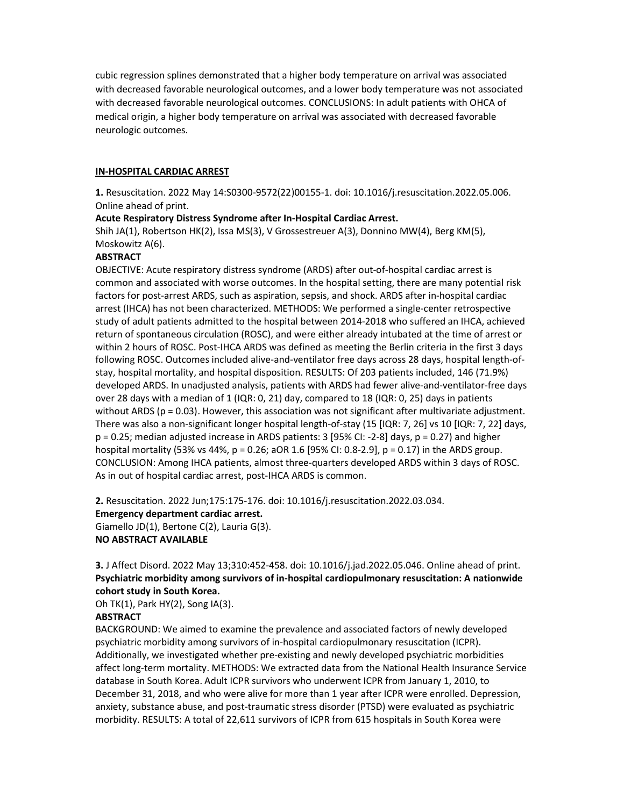cubic regression splines demonstrated that a higher body temperature on arrival was associated with decreased favorable neurological outcomes, and a lower body temperature was not associated with decreased favorable neurological outcomes. CONCLUSIONS: In adult patients with OHCA of medical origin, a higher body temperature on arrival was associated with decreased favorable neurologic outcomes.

#### IN-HOSPITAL CARDIAC ARREST

1. Resuscitation. 2022 May 14:S0300-9572(22)00155-1. doi: 10.1016/j.resuscitation.2022.05.006. Online ahead of print.

#### Acute Respiratory Distress Syndrome after In-Hospital Cardiac Arrest.

Shih JA(1), Robertson HK(2), Issa MS(3), V Grossestreuer A(3), Donnino MW(4), Berg KM(5), Moskowitz A(6).

# **ABSTRACT**

OBJECTIVE: Acute respiratory distress syndrome (ARDS) after out-of-hospital cardiac arrest is common and associated with worse outcomes. In the hospital setting, there are many potential risk factors for post-arrest ARDS, such as aspiration, sepsis, and shock. ARDS after in-hospital cardiac arrest (IHCA) has not been characterized. METHODS: We performed a single-center retrospective study of adult patients admitted to the hospital between 2014-2018 who suffered an IHCA, achieved return of spontaneous circulation (ROSC), and were either already intubated at the time of arrest or within 2 hours of ROSC. Post-IHCA ARDS was defined as meeting the Berlin criteria in the first 3 days following ROSC. Outcomes included alive-and-ventilator free days across 28 days, hospital length-ofstay, hospital mortality, and hospital disposition. RESULTS: Of 203 patients included, 146 (71.9%) developed ARDS. In unadjusted analysis, patients with ARDS had fewer alive-and-ventilator-free days over 28 days with a median of 1 (IQR: 0, 21) day, compared to 18 (IQR: 0, 25) days in patients without ARDS (p = 0.03). However, this association was not significant after multivariate adjustment. There was also a non-significant longer hospital length-of-stay (15 [IQR: 7, 26] vs 10 [IQR: 7, 22] days, p = 0.25; median adjusted increase in ARDS patients: 3 [95% CI: -2-8] days, p = 0.27) and higher hospital mortality (53% vs 44%, p = 0.26; aOR 1.6 [95% CI: 0.8-2.9], p = 0.17) in the ARDS group. CONCLUSION: Among IHCA patients, almost three-quarters developed ARDS within 3 days of ROSC. As in out of hospital cardiac arrest, post-IHCA ARDS is common.

2. Resuscitation. 2022 Jun;175:175-176. doi: 10.1016/j.resuscitation.2022.03.034. Emergency department cardiac arrest. Giamello JD(1), Bertone C(2), Lauria G(3). NO ABSTRACT AVAILABLE

# 3. J Affect Disord. 2022 May 13;310:452-458. doi: 10.1016/j.jad.2022.05.046. Online ahead of print. Psychiatric morbidity among survivors of in-hospital cardiopulmonary resuscitation: A nationwide cohort study in South Korea.

Oh TK(1), Park HY(2), Song IA(3).

## **ABSTRACT**

BACKGROUND: We aimed to examine the prevalence and associated factors of newly developed psychiatric morbidity among survivors of in-hospital cardiopulmonary resuscitation (ICPR). Additionally, we investigated whether pre-existing and newly developed psychiatric morbidities affect long-term mortality. METHODS: We extracted data from the National Health Insurance Service database in South Korea. Adult ICPR survivors who underwent ICPR from January 1, 2010, to December 31, 2018, and who were alive for more than 1 year after ICPR were enrolled. Depression, anxiety, substance abuse, and post-traumatic stress disorder (PTSD) were evaluated as psychiatric morbidity. RESULTS: A total of 22,611 survivors of ICPR from 615 hospitals in South Korea were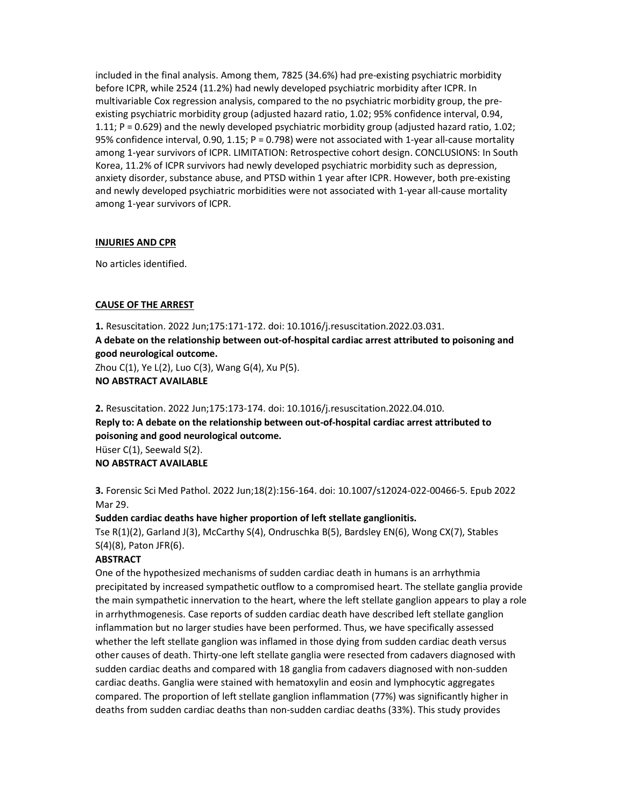included in the final analysis. Among them, 7825 (34.6%) had pre-existing psychiatric morbidity before ICPR, while 2524 (11.2%) had newly developed psychiatric morbidity after ICPR. In multivariable Cox regression analysis, compared to the no psychiatric morbidity group, the preexisting psychiatric morbidity group (adjusted hazard ratio, 1.02; 95% confidence interval, 0.94, 1.11; P = 0.629) and the newly developed psychiatric morbidity group (adjusted hazard ratio, 1.02; 95% confidence interval, 0.90, 1.15; P = 0.798) were not associated with 1-year all-cause mortality among 1-year survivors of ICPR. LIMITATION: Retrospective cohort design. CONCLUSIONS: In South Korea, 11.2% of ICPR survivors had newly developed psychiatric morbidity such as depression, anxiety disorder, substance abuse, and PTSD within 1 year after ICPR. However, both pre-existing and newly developed psychiatric morbidities were not associated with 1-year all-cause mortality among 1-year survivors of ICPR.

#### INJURIES AND CPR

No articles identified.

## CAUSE OF THE ARREST

1. Resuscitation. 2022 Jun;175:171-172. doi: 10.1016/j.resuscitation.2022.03.031. A debate on the relationship between out-of-hospital cardiac arrest attributed to poisoning and good neurological outcome. Zhou C(1), Ye L(2), Luo C(3), Wang G(4), Xu P(5).

NO ABSTRACT AVAILABLE

2. Resuscitation. 2022 Jun;175:173-174. doi: 10.1016/j.resuscitation.2022.04.010. Reply to: A debate on the relationship between out-of-hospital cardiac arrest attributed to poisoning and good neurological outcome. Hüser C(1), Seewald S(2). NO ABSTRACT AVAILABLE

3. Forensic Sci Med Pathol. 2022 Jun;18(2):156-164. doi: 10.1007/s12024-022-00466-5. Epub 2022 Mar 29.

## Sudden cardiac deaths have higher proportion of left stellate ganglionitis.

Tse R(1)(2), Garland J(3), McCarthy S(4), Ondruschka B(5), Bardsley EN(6), Wong CX(7), Stables S(4)(8), Paton JFR(6).

## **ABSTRACT**

One of the hypothesized mechanisms of sudden cardiac death in humans is an arrhythmia precipitated by increased sympathetic outflow to a compromised heart. The stellate ganglia provide the main sympathetic innervation to the heart, where the left stellate ganglion appears to play a role in arrhythmogenesis. Case reports of sudden cardiac death have described left stellate ganglion inflammation but no larger studies have been performed. Thus, we have specifically assessed whether the left stellate ganglion was inflamed in those dying from sudden cardiac death versus other causes of death. Thirty-one left stellate ganglia were resected from cadavers diagnosed with sudden cardiac deaths and compared with 18 ganglia from cadavers diagnosed with non-sudden cardiac deaths. Ganglia were stained with hematoxylin and eosin and lymphocytic aggregates compared. The proportion of left stellate ganglion inflammation (77%) was significantly higher in deaths from sudden cardiac deaths than non-sudden cardiac deaths (33%). This study provides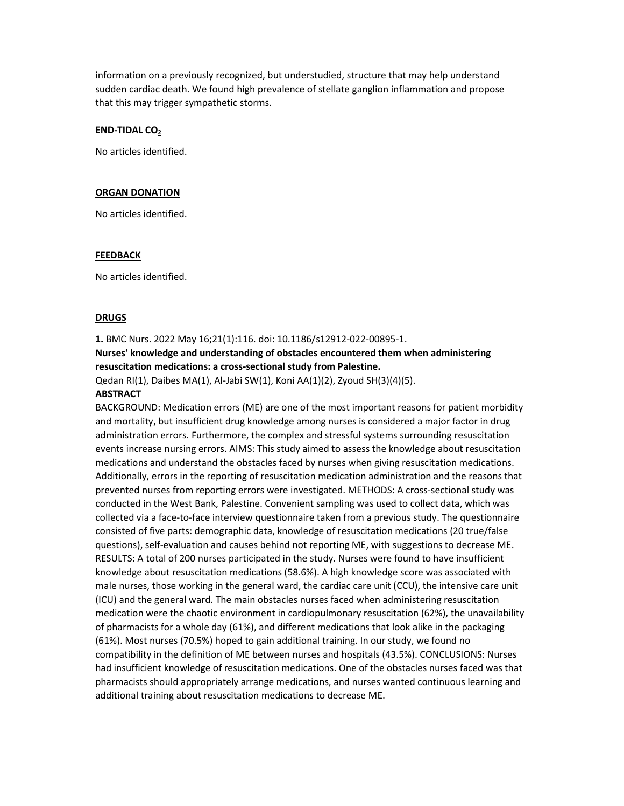information on a previously recognized, but understudied, structure that may help understand sudden cardiac death. We found high prevalence of stellate ganglion inflammation and propose that this may trigger sympathetic storms.

#### END-TIDAL CO<sub>2</sub>

No articles identified.

#### ORGAN DONATION

No articles identified.

#### FEEDBACK

No articles identified.

# **DRUGS**

# 1. BMC Nurs. 2022 May 16;21(1):116. doi: 10.1186/s12912-022-00895-1. Nurses' knowledge and understanding of obstacles encountered them when administering resuscitation medications: a cross-sectional study from Palestine. Qedan RI(1), Daibes MA(1), Al-Jabi SW(1), Koni AA(1)(2), Zyoud SH(3)(4)(5).

#### ABSTRACT

BACKGROUND: Medication errors (ME) are one of the most important reasons for patient morbidity and mortality, but insufficient drug knowledge among nurses is considered a major factor in drug administration errors. Furthermore, the complex and stressful systems surrounding resuscitation events increase nursing errors. AIMS: This study aimed to assess the knowledge about resuscitation medications and understand the obstacles faced by nurses when giving resuscitation medications. Additionally, errors in the reporting of resuscitation medication administration and the reasons that prevented nurses from reporting errors were investigated. METHODS: A cross-sectional study was conducted in the West Bank, Palestine. Convenient sampling was used to collect data, which was collected via a face-to-face interview questionnaire taken from a previous study. The questionnaire consisted of five parts: demographic data, knowledge of resuscitation medications (20 true/false questions), self-evaluation and causes behind not reporting ME, with suggestions to decrease ME. RESULTS: A total of 200 nurses participated in the study. Nurses were found to have insufficient knowledge about resuscitation medications (58.6%). A high knowledge score was associated with male nurses, those working in the general ward, the cardiac care unit (CCU), the intensive care unit (ICU) and the general ward. The main obstacles nurses faced when administering resuscitation medication were the chaotic environment in cardiopulmonary resuscitation (62%), the unavailability of pharmacists for a whole day (61%), and different medications that look alike in the packaging (61%). Most nurses (70.5%) hoped to gain additional training. In our study, we found no compatibility in the definition of ME between nurses and hospitals (43.5%). CONCLUSIONS: Nurses had insufficient knowledge of resuscitation medications. One of the obstacles nurses faced was that pharmacists should appropriately arrange medications, and nurses wanted continuous learning and additional training about resuscitation medications to decrease ME.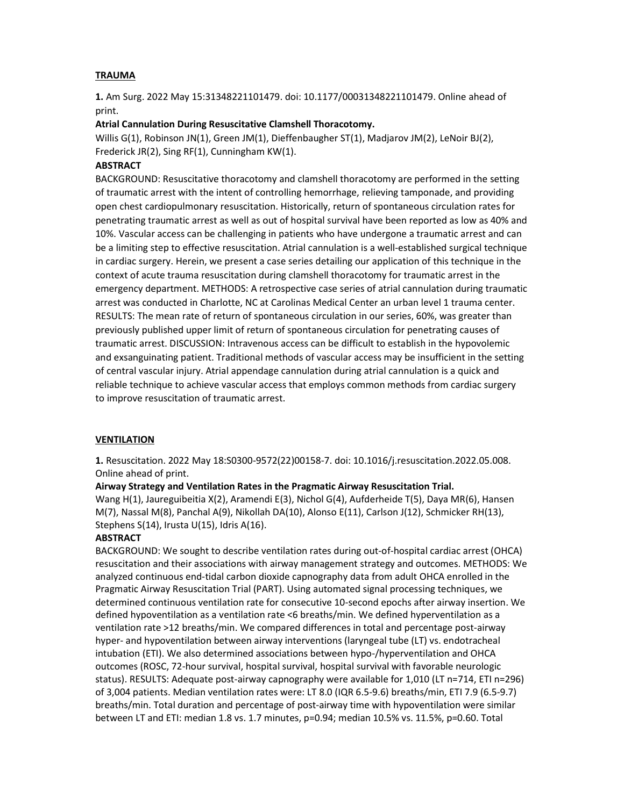# **TRAUMA**

1. Am Surg. 2022 May 15:31348221101479. doi: 10.1177/00031348221101479. Online ahead of print.

# Atrial Cannulation During Resuscitative Clamshell Thoracotomy.

Willis G(1), Robinson JN(1), Green JM(1), Dieffenbaugher ST(1), Madjarov JM(2), LeNoir BJ(2), Frederick JR(2), Sing RF(1), Cunningham KW(1).

# ABSTRACT

BACKGROUND: Resuscitative thoracotomy and clamshell thoracotomy are performed in the setting of traumatic arrest with the intent of controlling hemorrhage, relieving tamponade, and providing open chest cardiopulmonary resuscitation. Historically, return of spontaneous circulation rates for penetrating traumatic arrest as well as out of hospital survival have been reported as low as 40% and 10%. Vascular access can be challenging in patients who have undergone a traumatic arrest and can be a limiting step to effective resuscitation. Atrial cannulation is a well-established surgical technique in cardiac surgery. Herein, we present a case series detailing our application of this technique in the context of acute trauma resuscitation during clamshell thoracotomy for traumatic arrest in the emergency department. METHODS: A retrospective case series of atrial cannulation during traumatic arrest was conducted in Charlotte, NC at Carolinas Medical Center an urban level 1 trauma center. RESULTS: The mean rate of return of spontaneous circulation in our series, 60%, was greater than previously published upper limit of return of spontaneous circulation for penetrating causes of traumatic arrest. DISCUSSION: Intravenous access can be difficult to establish in the hypovolemic and exsanguinating patient. Traditional methods of vascular access may be insufficient in the setting of central vascular injury. Atrial appendage cannulation during atrial cannulation is a quick and reliable technique to achieve vascular access that employs common methods from cardiac surgery to improve resuscitation of traumatic arrest.

## VENTILATION

1. Resuscitation. 2022 May 18:S0300-9572(22)00158-7. doi: 10.1016/j.resuscitation.2022.05.008. Online ahead of print.

## Airway Strategy and Ventilation Rates in the Pragmatic Airway Resuscitation Trial.

Wang H(1), Jaureguibeitia X(2), Aramendi E(3), Nichol G(4), Aufderheide T(5), Daya MR(6), Hansen M(7), Nassal M(8), Panchal A(9), Nikollah DA(10), Alonso E(11), Carlson J(12), Schmicker RH(13), Stephens S(14), Irusta U(15), Idris A(16).

# **ABSTRACT**

BACKGROUND: We sought to describe ventilation rates during out-of-hospital cardiac arrest (OHCA) resuscitation and their associations with airway management strategy and outcomes. METHODS: We analyzed continuous end-tidal carbon dioxide capnography data from adult OHCA enrolled in the Pragmatic Airway Resuscitation Trial (PART). Using automated signal processing techniques, we determined continuous ventilation rate for consecutive 10-second epochs after airway insertion. We defined hypoventilation as a ventilation rate <6 breaths/min. We defined hyperventilation as a ventilation rate >12 breaths/min. We compared differences in total and percentage post-airway hyper- and hypoventilation between airway interventions (laryngeal tube (LT) vs. endotracheal intubation (ETI). We also determined associations between hypo-/hyperventilation and OHCA outcomes (ROSC, 72-hour survival, hospital survival, hospital survival with favorable neurologic status). RESULTS: Adequate post-airway capnography were available for 1,010 (LT n=714, ETI n=296) of 3,004 patients. Median ventilation rates were: LT 8.0 (IQR 6.5-9.6) breaths/min, ETI 7.9 (6.5-9.7) breaths/min. Total duration and percentage of post-airway time with hypoventilation were similar between LT and ETI: median 1.8 vs. 1.7 minutes, p=0.94; median 10.5% vs. 11.5%, p=0.60. Total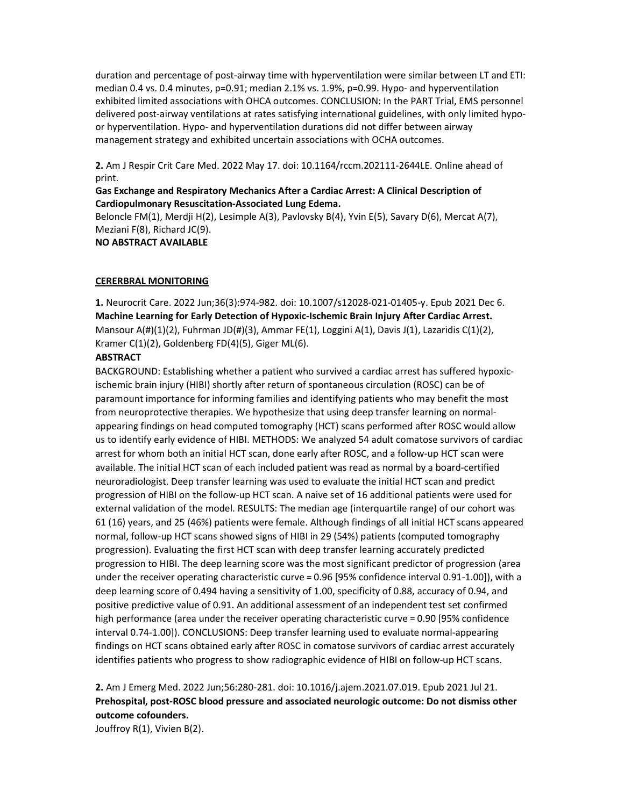duration and percentage of post-airway time with hyperventilation were similar between LT and ETI: median 0.4 vs. 0.4 minutes, p=0.91; median 2.1% vs. 1.9%, p=0.99. Hypo- and hyperventilation exhibited limited associations with OHCA outcomes. CONCLUSION: In the PART Trial, EMS personnel delivered post-airway ventilations at rates satisfying international guidelines, with only limited hypoor hyperventilation. Hypo- and hyperventilation durations did not differ between airway management strategy and exhibited uncertain associations with OCHA outcomes.

2. Am J Respir Crit Care Med. 2022 May 17. doi: 10.1164/rccm.202111-2644LE. Online ahead of print.

#### Gas Exchange and Respiratory Mechanics After a Cardiac Arrest: A Clinical Description of Cardiopulmonary Resuscitation-Associated Lung Edema.

Beloncle FM(1), Merdji H(2), Lesimple A(3), Pavlovsky B(4), Yvin E(5), Savary D(6), Mercat A(7), Meziani F(8), Richard JC(9).

NO ABSTRACT AVAILABLE

#### CERERBRAL MONITORING

1. Neurocrit Care. 2022 Jun;36(3):974-982. doi: 10.1007/s12028-021-01405-y. Epub 2021 Dec 6. Machine Learning for Early Detection of Hypoxic-Ischemic Brain Injury After Cardiac Arrest. Mansour  $A(\#)(1)(2)$ , Fuhrman JD $(\#)(3)$ , Ammar FE $(1)$ , Loggini A $(1)$ , Davis J $(1)$ , Lazaridis C $(1)(2)$ , Kramer C(1)(2), Goldenberg FD(4)(5), Giger ML(6).

#### ABSTRACT

BACKGROUND: Establishing whether a patient who survived a cardiac arrest has suffered hypoxicischemic brain injury (HIBI) shortly after return of spontaneous circulation (ROSC) can be of paramount importance for informing families and identifying patients who may benefit the most from neuroprotective therapies. We hypothesize that using deep transfer learning on normalappearing findings on head computed tomography (HCT) scans performed after ROSC would allow us to identify early evidence of HIBI. METHODS: We analyzed 54 adult comatose survivors of cardiac arrest for whom both an initial HCT scan, done early after ROSC, and a follow-up HCT scan were available. The initial HCT scan of each included patient was read as normal by a board-certified neuroradiologist. Deep transfer learning was used to evaluate the initial HCT scan and predict progression of HIBI on the follow-up HCT scan. A naive set of 16 additional patients were used for external validation of the model. RESULTS: The median age (interquartile range) of our cohort was 61 (16) years, and 25 (46%) patients were female. Although findings of all initial HCT scans appeared normal, follow-up HCT scans showed signs of HIBI in 29 (54%) patients (computed tomography progression). Evaluating the first HCT scan with deep transfer learning accurately predicted progression to HIBI. The deep learning score was the most significant predictor of progression (area under the receiver operating characteristic curve = 0.96 [95% confidence interval 0.91-1.00]), with a deep learning score of 0.494 having a sensitivity of 1.00, specificity of 0.88, accuracy of 0.94, and positive predictive value of 0.91. An additional assessment of an independent test set confirmed high performance (area under the receiver operating characteristic curve = 0.90 [95% confidence interval 0.74-1.00]). CONCLUSIONS: Deep transfer learning used to evaluate normal-appearing findings on HCT scans obtained early after ROSC in comatose survivors of cardiac arrest accurately identifies patients who progress to show radiographic evidence of HIBI on follow-up HCT scans.

2. Am J Emerg Med. 2022 Jun;56:280-281. doi: 10.1016/j.ajem.2021.07.019. Epub 2021 Jul 21. Prehospital, post-ROSC blood pressure and associated neurologic outcome: Do not dismiss other outcome cofounders.

Jouffroy R(1), Vivien B(2).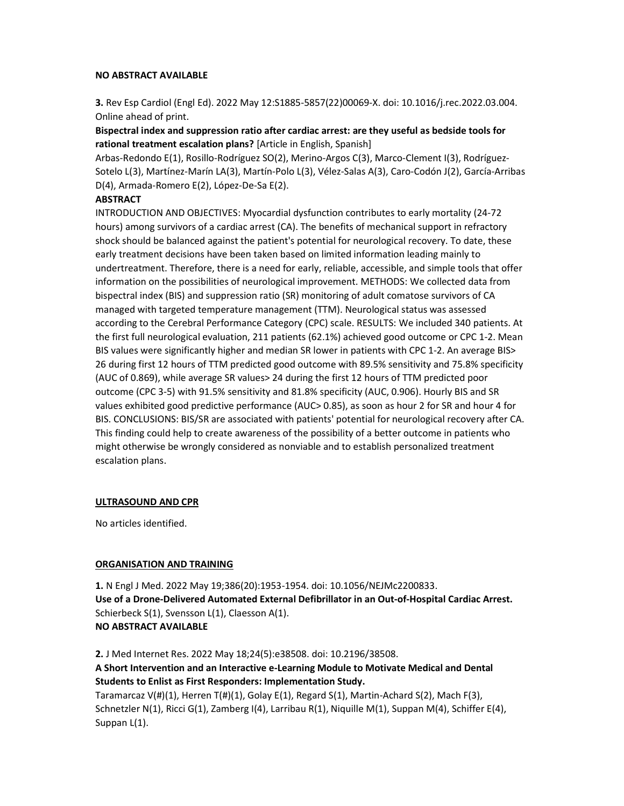#### NO ABSTRACT AVAILABLE

3. Rev Esp Cardiol (Engl Ed). 2022 May 12:S1885-5857(22)00069-X. doi: 10.1016/j.rec.2022.03.004. Online ahead of print.

# Bispectral index and suppression ratio after cardiac arrest: are they useful as bedside tools for rational treatment escalation plans? [Article in English, Spanish]

Arbas-Redondo E(1), Rosillo-Rodríguez SO(2), Merino-Argos C(3), Marco-Clement I(3), Rodríguez-Sotelo L(3), Martínez-Marín LA(3), Martín-Polo L(3), Vélez-Salas A(3), Caro-Codón J(2), García-Arribas D(4), Armada-Romero E(2), López-De-Sa E(2).

# **ABSTRACT**

INTRODUCTION AND OBJECTIVES: Myocardial dysfunction contributes to early mortality (24-72 hours) among survivors of a cardiac arrest (CA). The benefits of mechanical support in refractory shock should be balanced against the patient's potential for neurological recovery. To date, these early treatment decisions have been taken based on limited information leading mainly to undertreatment. Therefore, there is a need for early, reliable, accessible, and simple tools that offer information on the possibilities of neurological improvement. METHODS: We collected data from bispectral index (BIS) and suppression ratio (SR) monitoring of adult comatose survivors of CA managed with targeted temperature management (TTM). Neurological status was assessed according to the Cerebral Performance Category (CPC) scale. RESULTS: We included 340 patients. At the first full neurological evaluation, 211 patients (62.1%) achieved good outcome or CPC 1-2. Mean BIS values were significantly higher and median SR lower in patients with CPC 1-2. An average BIS> 26 during first 12 hours of TTM predicted good outcome with 89.5% sensitivity and 75.8% specificity (AUC of 0.869), while average SR values> 24 during the first 12 hours of TTM predicted poor outcome (CPC 3-5) with 91.5% sensitivity and 81.8% specificity (AUC, 0.906). Hourly BIS and SR values exhibited good predictive performance (AUC> 0.85), as soon as hour 2 for SR and hour 4 for BIS. CONCLUSIONS: BIS/SR are associated with patients' potential for neurological recovery after CA. This finding could help to create awareness of the possibility of a better outcome in patients who might otherwise be wrongly considered as nonviable and to establish personalized treatment escalation plans.

## ULTRASOUND AND CPR

No articles identified.

## ORGANISATION AND TRAINING

1. N Engl J Med. 2022 May 19;386(20):1953-1954. doi: 10.1056/NEJMc2200833. Use of a Drone-Delivered Automated External Defibrillator in an Out-of-Hospital Cardiac Arrest. Schierbeck S(1), Svensson L(1), Claesson A(1). NO ABSTRACT AVAILABLE

2. J Med Internet Res. 2022 May 18;24(5):e38508. doi: 10.2196/38508. A Short Intervention and an Interactive e-Learning Module to Motivate Medical and Dental Students to Enlist as First Responders: Implementation Study.

Taramarcaz  $V(H)(1)$ , Herren T(#)(1), Golay E(1), Regard S(1), Martin-Achard S(2), Mach F(3), Schnetzler N(1), Ricci G(1), Zamberg I(4), Larribau R(1), Niquille M(1), Suppan M(4), Schiffer E(4), Suppan L(1).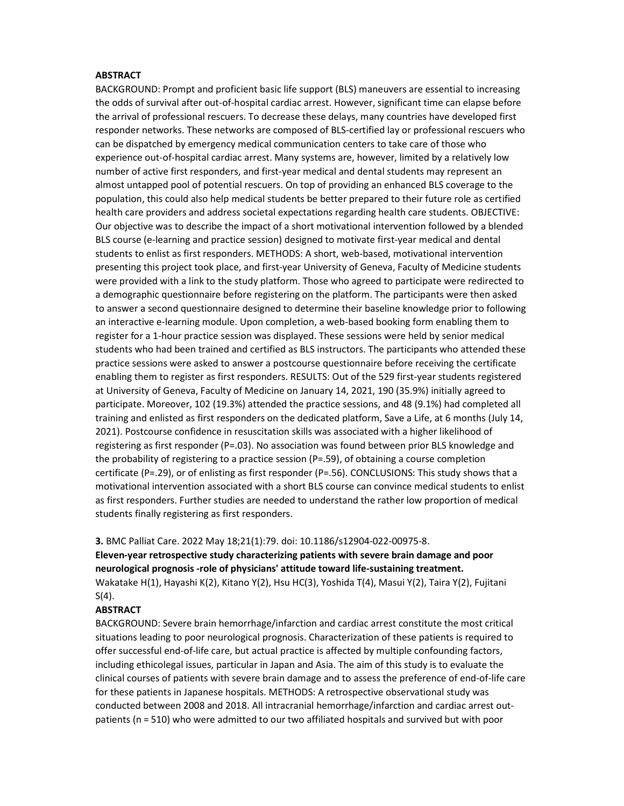#### **ABSTRACT**

BACKGROUND: Prompt and proficient basic life support (BLS) maneuvers are essential to increasing the odds of survival after out-of-hospital cardiac arrest. However, significant time can elapse before the arrival of professional rescuers. To decrease these delays, many countries have developed first responder networks. These networks are composed of BLS-certified lay or professional rescuers who can be dispatched by emergency medical communication centers to take care of those who experience out-of-hospital cardiac arrest. Many systems are, however, limited by a relatively low number of active first responders, and first-year medical and dental students may represent an almost untapped pool of potential rescuers. On top of providing an enhanced BLS coverage to the population, this could also help medical students be better prepared to their future role as certified health care providers and address societal expectations regarding health care students. OBJECTIVE: Our objective was to describe the impact of a short motivational intervention followed by a blended BLS course (e-learning and practice session) designed to motivate first-year medical and dental students to enlist as first responders. METHODS: A short, web-based, motivational intervention presenting this project took place, and first-year University of Geneva, Faculty of Medicine students were provided with a link to the study platform. Those who agreed to participate were redirected to a demographic questionnaire before registering on the platform. The participants were then asked to answer a second questionnaire designed to determine their baseline knowledge prior to following an interactive e-learning module. Upon completion, a web-based booking form enabling them to register for a 1-hour practice session was displayed. These sessions were held by senior medical students who had been trained and certified as BLS instructors. The participants who attended these practice sessions were asked to answer a postcourse questionnaire before receiving the certificate enabling them to register as first responders. RESULTS: Out of the 529 first-year students registered at University of Geneva, Faculty of Medicine on January 14, 2021, 190 (35.9%) initially agreed to participate. Moreover, 102 (19.3%) attended the practice sessions, and 48 (9.1%) had completed all training and enlisted as first responders on the dedicated platform, Save a Life, at 6 months (July 14, 2021). Postcourse confidence in resuscitation skills was associated with a higher likelihood of registering as first responder (P=.03). No association was found between prior BLS knowledge and the probability of registering to a practice session (P=.59), of obtaining a course completion certificate (P=.29), or of enlisting as first responder (P=.56). CONCLUSIONS: This study shows that a motivational intervention associated with a short BLS course can convince medical students to enlist as first responders. Further studies are needed to understand the rather low proportion of medical students finally registering as first responders.

#### 3. BMC Palliat Care. 2022 May 18;21(1):79. doi: 10.1186/s12904-022-00975-8.

Eleven-year retrospective study characterizing patients with severe brain damage and poor neurological prognosis -role of physicians' attitude toward life-sustaining treatment. Wakatake H(1), Hayashi K(2), Kitano Y(2), Hsu HC(3), Yoshida T(4), Masui Y(2), Taira Y(2), Fujitani  $S(4)$ .

## **ABSTRACT**

BACKGROUND: Severe brain hemorrhage/infarction and cardiac arrest constitute the most critical situations leading to poor neurological prognosis. Characterization of these patients is required to offer successful end-of-life care, but actual practice is affected by multiple confounding factors, including ethicolegal issues, particular in Japan and Asia. The aim of this study is to evaluate the clinical courses of patients with severe brain damage and to assess the preference of end-of-life care for these patients in Japanese hospitals. METHODS: A retrospective observational study was conducted between 2008 and 2018. All intracranial hemorrhage/infarction and cardiac arrest outpatients (n = 510) who were admitted to our two affiliated hospitals and survived but with poor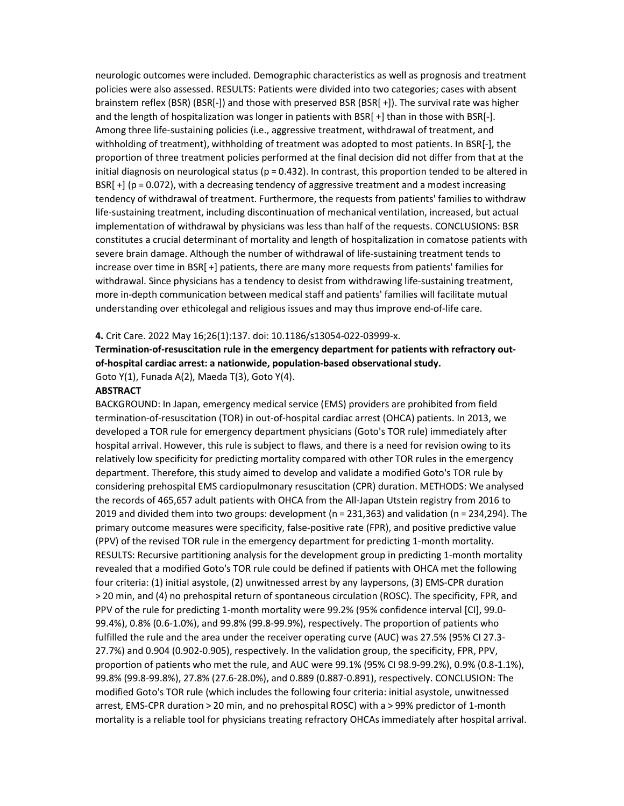neurologic outcomes were included. Demographic characteristics as well as prognosis and treatment policies were also assessed. RESULTS: Patients were divided into two categories; cases with absent brainstem reflex (BSR) (BSR[-]) and those with preserved BSR (BSR[ +]). The survival rate was higher and the length of hospitalization was longer in patients with BSR[ +] than in those with BSR[-]. Among three life-sustaining policies (i.e., aggressive treatment, withdrawal of treatment, and withholding of treatment), withholding of treatment was adopted to most patients. In BSR[-], the proportion of three treatment policies performed at the final decision did not differ from that at the initial diagnosis on neurological status ( $p = 0.432$ ). In contrast, this proportion tended to be altered in BSR[ +] (p = 0.072), with a decreasing tendency of aggressive treatment and a modest increasing tendency of withdrawal of treatment. Furthermore, the requests from patients' families to withdraw life-sustaining treatment, including discontinuation of mechanical ventilation, increased, but actual implementation of withdrawal by physicians was less than half of the requests. CONCLUSIONS: BSR constitutes a crucial determinant of mortality and length of hospitalization in comatose patients with severe brain damage. Although the number of withdrawal of life-sustaining treatment tends to increase over time in BSR[ +] patients, there are many more requests from patients' families for withdrawal. Since physicians has a tendency to desist from withdrawing life-sustaining treatment, more in-depth communication between medical staff and patients' families will facilitate mutual understanding over ethicolegal and religious issues and may thus improve end-of-life care.

#### 4. Crit Care. 2022 May 16;26(1):137. doi: 10.1186/s13054-022-03999-x.

Termination-of-resuscitation rule in the emergency department for patients with refractory outof-hospital cardiac arrest: a nationwide, population-based observational study.

Goto Y(1), Funada A(2), Maeda T(3), Goto Y(4).

#### **ABSTRACT**

BACKGROUND: In Japan, emergency medical service (EMS) providers are prohibited from field termination-of-resuscitation (TOR) in out-of-hospital cardiac arrest (OHCA) patients. In 2013, we developed a TOR rule for emergency department physicians (Goto's TOR rule) immediately after hospital arrival. However, this rule is subject to flaws, and there is a need for revision owing to its relatively low specificity for predicting mortality compared with other TOR rules in the emergency department. Therefore, this study aimed to develop and validate a modified Goto's TOR rule by considering prehospital EMS cardiopulmonary resuscitation (CPR) duration. METHODS: We analysed the records of 465,657 adult patients with OHCA from the All-Japan Utstein registry from 2016 to 2019 and divided them into two groups: development (n = 231,363) and validation (n = 234,294). The primary outcome measures were specificity, false-positive rate (FPR), and positive predictive value (PPV) of the revised TOR rule in the emergency department for predicting 1-month mortality. RESULTS: Recursive partitioning analysis for the development group in predicting 1-month mortality revealed that a modified Goto's TOR rule could be defined if patients with OHCA met the following four criteria: (1) initial asystole, (2) unwitnessed arrest by any laypersons, (3) EMS-CPR duration > 20 min, and (4) no prehospital return of spontaneous circulation (ROSC). The specificity, FPR, and PPV of the rule for predicting 1-month mortality were 99.2% (95% confidence interval [CI], 99.0- 99.4%), 0.8% (0.6-1.0%), and 99.8% (99.8-99.9%), respectively. The proportion of patients who fulfilled the rule and the area under the receiver operating curve (AUC) was 27.5% (95% CI 27.3- 27.7%) and 0.904 (0.902-0.905), respectively. In the validation group, the specificity, FPR, PPV, proportion of patients who met the rule, and AUC were 99.1% (95% CI 98.9-99.2%), 0.9% (0.8-1.1%), 99.8% (99.8-99.8%), 27.8% (27.6-28.0%), and 0.889 (0.887-0.891), respectively. CONCLUSION: The modified Goto's TOR rule (which includes the following four criteria: initial asystole, unwitnessed arrest, EMS-CPR duration > 20 min, and no prehospital ROSC) with a > 99% predictor of 1-month mortality is a reliable tool for physicians treating refractory OHCAs immediately after hospital arrival.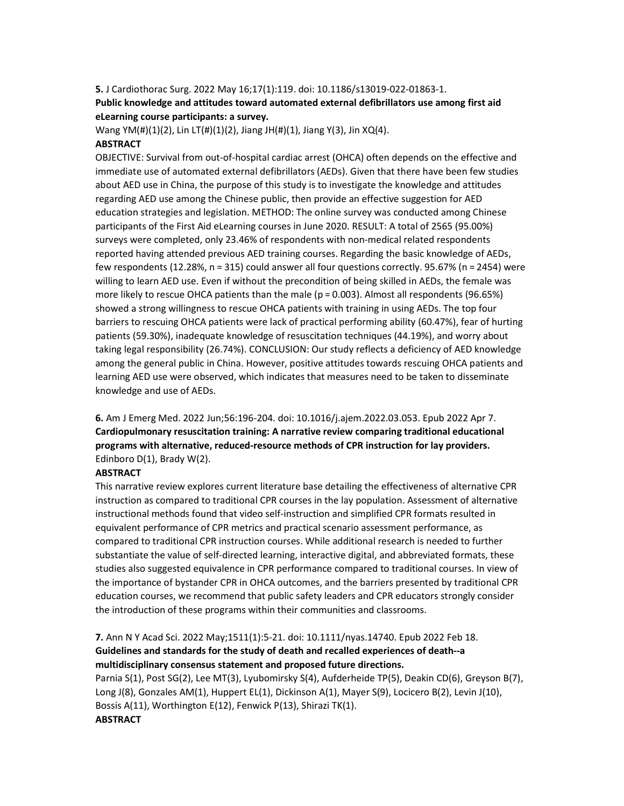#### 5. J Cardiothorac Surg. 2022 May 16;17(1):119. doi: 10.1186/s13019-022-01863-1.

# Public knowledge and attitudes toward automated external defibrillators use among first aid eLearning course participants: a survey.

Wang YM(#)(1)(2), Lin LT(#)(1)(2), Jiang JH(#)(1), Jiang Y(3), Jin XQ(4).

# ABSTRACT

OBJECTIVE: Survival from out-of-hospital cardiac arrest (OHCA) often depends on the effective and immediate use of automated external defibrillators (AEDs). Given that there have been few studies about AED use in China, the purpose of this study is to investigate the knowledge and attitudes regarding AED use among the Chinese public, then provide an effective suggestion for AED education strategies and legislation. METHOD: The online survey was conducted among Chinese participants of the First Aid eLearning courses in June 2020. RESULT: A total of 2565 (95.00%) surveys were completed, only 23.46% of respondents with non-medical related respondents reported having attended previous AED training courses. Regarding the basic knowledge of AEDs, few respondents (12.28%, n = 315) could answer all four questions correctly. 95.67% (n = 2454) were willing to learn AED use. Even if without the precondition of being skilled in AEDs, the female was more likely to rescue OHCA patients than the male ( $p = 0.003$ ). Almost all respondents (96.65%) showed a strong willingness to rescue OHCA patients with training in using AEDs. The top four barriers to rescuing OHCA patients were lack of practical performing ability (60.47%), fear of hurting patients (59.30%), inadequate knowledge of resuscitation techniques (44.19%), and worry about taking legal responsibility (26.74%). CONCLUSION: Our study reflects a deficiency of AED knowledge among the general public in China. However, positive attitudes towards rescuing OHCA patients and learning AED use were observed, which indicates that measures need to be taken to disseminate knowledge and use of AEDs.

6. Am J Emerg Med. 2022 Jun;56:196-204. doi: 10.1016/j.ajem.2022.03.053. Epub 2022 Apr 7. Cardiopulmonary resuscitation training: A narrative review comparing traditional educational programs with alternative, reduced-resource methods of CPR instruction for lay providers. Edinboro D(1), Brady W(2).

## **ABSTRACT**

This narrative review explores current literature base detailing the effectiveness of alternative CPR instruction as compared to traditional CPR courses in the lay population. Assessment of alternative instructional methods found that video self-instruction and simplified CPR formats resulted in equivalent performance of CPR metrics and practical scenario assessment performance, as compared to traditional CPR instruction courses. While additional research is needed to further substantiate the value of self-directed learning, interactive digital, and abbreviated formats, these studies also suggested equivalence in CPR performance compared to traditional courses. In view of the importance of bystander CPR in OHCA outcomes, and the barriers presented by traditional CPR education courses, we recommend that public safety leaders and CPR educators strongly consider the introduction of these programs within their communities and classrooms.

# 7. Ann N Y Acad Sci. 2022 May;1511(1):5-21. doi: 10.1111/nyas.14740. Epub 2022 Feb 18. Guidelines and standards for the study of death and recalled experiences of death--a multidisciplinary consensus statement and proposed future directions.

Parnia S(1), Post SG(2), Lee MT(3), Lyubomirsky S(4), Aufderheide TP(5), Deakin CD(6), Greyson B(7), Long J(8), Gonzales AM(1), Huppert EL(1), Dickinson A(1), Mayer S(9), Locicero B(2), Levin J(10), Bossis A(11), Worthington E(12), Fenwick P(13), Shirazi TK(1). **ABSTRACT**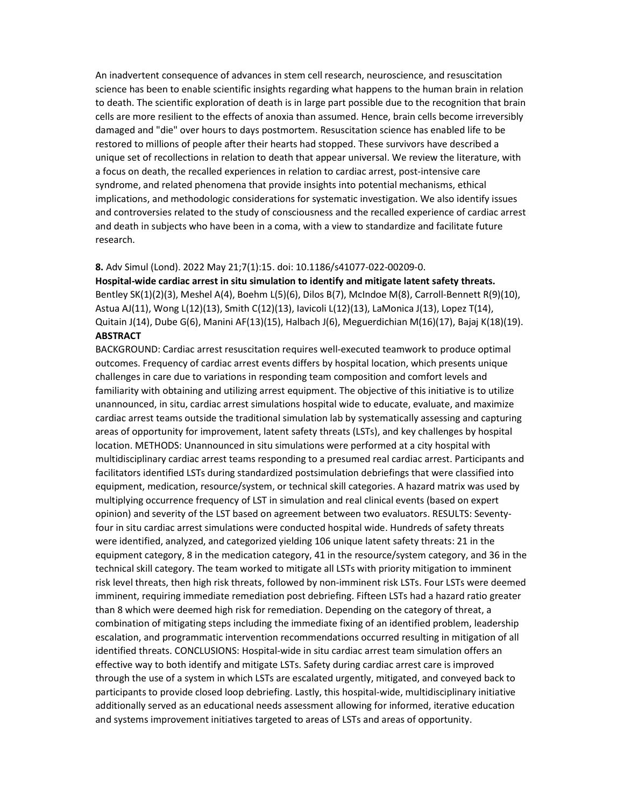An inadvertent consequence of advances in stem cell research, neuroscience, and resuscitation science has been to enable scientific insights regarding what happens to the human brain in relation to death. The scientific exploration of death is in large part possible due to the recognition that brain cells are more resilient to the effects of anoxia than assumed. Hence, brain cells become irreversibly damaged and "die" over hours to days postmortem. Resuscitation science has enabled life to be restored to millions of people after their hearts had stopped. These survivors have described a unique set of recollections in relation to death that appear universal. We review the literature, with a focus on death, the recalled experiences in relation to cardiac arrest, post-intensive care syndrome, and related phenomena that provide insights into potential mechanisms, ethical implications, and methodologic considerations for systematic investigation. We also identify issues and controversies related to the study of consciousness and the recalled experience of cardiac arrest and death in subjects who have been in a coma, with a view to standardize and facilitate future research.

#### 8. Adv Simul (Lond). 2022 May 21;7(1):15. doi: 10.1186/s41077-022-00209-0.

Hospital-wide cardiac arrest in situ simulation to identify and mitigate latent safety threats. Bentley SK(1)(2)(3), Meshel A(4), Boehm L(5)(6), Dilos B(7), McIndoe M(8), Carroll-Bennett R(9)(10), Astua AJ(11), Wong L(12)(13), Smith C(12)(13), Iavicoli L(12)(13), LaMonica J(13), Lopez T(14), Quitain J(14), Dube G(6), Manini AF(13)(15), Halbach J(6), Meguerdichian M(16)(17), Bajaj K(18)(19). **ABSTRACT** 

BACKGROUND: Cardiac arrest resuscitation requires well-executed teamwork to produce optimal outcomes. Frequency of cardiac arrest events differs by hospital location, which presents unique challenges in care due to variations in responding team composition and comfort levels and familiarity with obtaining and utilizing arrest equipment. The objective of this initiative is to utilize unannounced, in situ, cardiac arrest simulations hospital wide to educate, evaluate, and maximize cardiac arrest teams outside the traditional simulation lab by systematically assessing and capturing areas of opportunity for improvement, latent safety threats (LSTs), and key challenges by hospital location. METHODS: Unannounced in situ simulations were performed at a city hospital with multidisciplinary cardiac arrest teams responding to a presumed real cardiac arrest. Participants and facilitators identified LSTs during standardized postsimulation debriefings that were classified into equipment, medication, resource/system, or technical skill categories. A hazard matrix was used by multiplying occurrence frequency of LST in simulation and real clinical events (based on expert opinion) and severity of the LST based on agreement between two evaluators. RESULTS: Seventyfour in situ cardiac arrest simulations were conducted hospital wide. Hundreds of safety threats were identified, analyzed, and categorized yielding 106 unique latent safety threats: 21 in the equipment category, 8 in the medication category, 41 in the resource/system category, and 36 in the technical skill category. The team worked to mitigate all LSTs with priority mitigation to imminent risk level threats, then high risk threats, followed by non-imminent risk LSTs. Four LSTs were deemed imminent, requiring immediate remediation post debriefing. Fifteen LSTs had a hazard ratio greater than 8 which were deemed high risk for remediation. Depending on the category of threat, a combination of mitigating steps including the immediate fixing of an identified problem, leadership escalation, and programmatic intervention recommendations occurred resulting in mitigation of all identified threats. CONCLUSIONS: Hospital-wide in situ cardiac arrest team simulation offers an effective way to both identify and mitigate LSTs. Safety during cardiac arrest care is improved through the use of a system in which LSTs are escalated urgently, mitigated, and conveyed back to participants to provide closed loop debriefing. Lastly, this hospital-wide, multidisciplinary initiative additionally served as an educational needs assessment allowing for informed, iterative education and systems improvement initiatives targeted to areas of LSTs and areas of opportunity.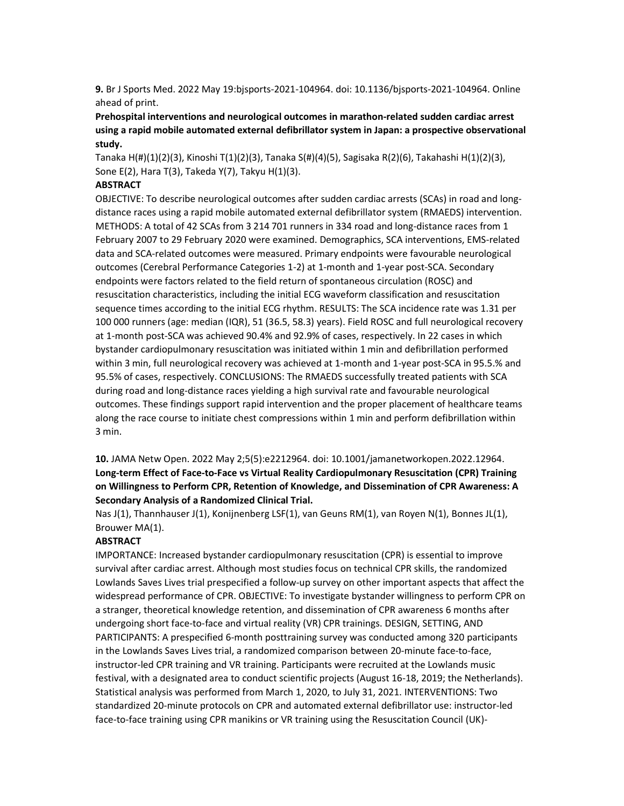9. Br J Sports Med. 2022 May 19:bjsports-2021-104964. doi: 10.1136/bjsports-2021-104964. Online ahead of print.

Prehospital interventions and neurological outcomes in marathon-related sudden cardiac arrest using a rapid mobile automated external defibrillator system in Japan: a prospective observational study.

Tanaka H(#)(1)(2)(3), Kinoshi T(1)(2)(3), Tanaka S(#)(4)(5), Sagisaka R(2)(6), Takahashi H(1)(2)(3), Sone E(2), Hara T(3), Takeda Y(7), Takyu H(1)(3).

#### **ABSTRACT**

OBJECTIVE: To describe neurological outcomes after sudden cardiac arrests (SCAs) in road and longdistance races using a rapid mobile automated external defibrillator system (RMAEDS) intervention. METHODS: A total of 42 SCAs from 3 214 701 runners in 334 road and long-distance races from 1 February 2007 to 29 February 2020 were examined. Demographics, SCA interventions, EMS-related data and SCA-related outcomes were measured. Primary endpoints were favourable neurological outcomes (Cerebral Performance Categories 1-2) at 1-month and 1-year post-SCA. Secondary endpoints were factors related to the field return of spontaneous circulation (ROSC) and resuscitation characteristics, including the initial ECG waveform classification and resuscitation sequence times according to the initial ECG rhythm. RESULTS: The SCA incidence rate was 1.31 per 100 000 runners (age: median (IQR), 51 (36.5, 58.3) years). Field ROSC and full neurological recovery at 1-month post-SCA was achieved 90.4% and 92.9% of cases, respectively. In 22 cases in which bystander cardiopulmonary resuscitation was initiated within 1 min and defibrillation performed within 3 min, full neurological recovery was achieved at 1-month and 1-year post-SCA in 95.5.% and 95.5% of cases, respectively. CONCLUSIONS: The RMAEDS successfully treated patients with SCA during road and long-distance races yielding a high survival rate and favourable neurological outcomes. These findings support rapid intervention and the proper placement of healthcare teams along the race course to initiate chest compressions within 1 min and perform defibrillation within 3 min.

# 10. JAMA Netw Open. 2022 May 2;5(5):e2212964. doi: 10.1001/jamanetworkopen.2022.12964. Long-term Effect of Face-to-Face vs Virtual Reality Cardiopulmonary Resuscitation (CPR) Training on Willingness to Perform CPR, Retention of Knowledge, and Dissemination of CPR Awareness: A Secondary Analysis of a Randomized Clinical Trial.

Nas J(1), Thannhauser J(1), Konijnenberg LSF(1), van Geuns RM(1), van Royen N(1), Bonnes JL(1), Brouwer MA(1).

#### ABSTRACT

IMPORTANCE: Increased bystander cardiopulmonary resuscitation (CPR) is essential to improve survival after cardiac arrest. Although most studies focus on technical CPR skills, the randomized Lowlands Saves Lives trial prespecified a follow-up survey on other important aspects that affect the widespread performance of CPR. OBJECTIVE: To investigate bystander willingness to perform CPR on a stranger, theoretical knowledge retention, and dissemination of CPR awareness 6 months after undergoing short face-to-face and virtual reality (VR) CPR trainings. DESIGN, SETTING, AND PARTICIPANTS: A prespecified 6-month posttraining survey was conducted among 320 participants in the Lowlands Saves Lives trial, a randomized comparison between 20-minute face-to-face, instructor-led CPR training and VR training. Participants were recruited at the Lowlands music festival, with a designated area to conduct scientific projects (August 16-18, 2019; the Netherlands). Statistical analysis was performed from March 1, 2020, to July 31, 2021. INTERVENTIONS: Two standardized 20-minute protocols on CPR and automated external defibrillator use: instructor-led face-to-face training using CPR manikins or VR training using the Resuscitation Council (UK)-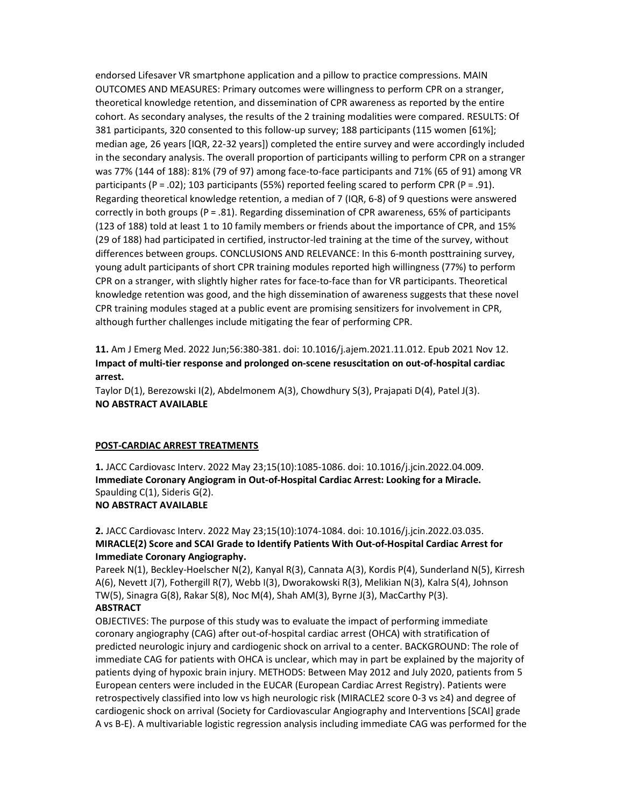endorsed Lifesaver VR smartphone application and a pillow to practice compressions. MAIN OUTCOMES AND MEASURES: Primary outcomes were willingness to perform CPR on a stranger, theoretical knowledge retention, and dissemination of CPR awareness as reported by the entire cohort. As secondary analyses, the results of the 2 training modalities were compared. RESULTS: Of 381 participants, 320 consented to this follow-up survey; 188 participants (115 women [61%]; median age, 26 years [IQR, 22-32 years]) completed the entire survey and were accordingly included in the secondary analysis. The overall proportion of participants willing to perform CPR on a stranger was 77% (144 of 188): 81% (79 of 97) among face-to-face participants and 71% (65 of 91) among VR participants (P = .02); 103 participants (55%) reported feeling scared to perform CPR (P = .91). Regarding theoretical knowledge retention, a median of 7 (IQR, 6-8) of 9 questions were answered correctly in both groups (P = .81). Regarding dissemination of CPR awareness, 65% of participants (123 of 188) told at least 1 to 10 family members or friends about the importance of CPR, and 15% (29 of 188) had participated in certified, instructor-led training at the time of the survey, without differences between groups. CONCLUSIONS AND RELEVANCE: In this 6-month posttraining survey, young adult participants of short CPR training modules reported high willingness (77%) to perform CPR on a stranger, with slightly higher rates for face-to-face than for VR participants. Theoretical knowledge retention was good, and the high dissemination of awareness suggests that these novel CPR training modules staged at a public event are promising sensitizers for involvement in CPR, although further challenges include mitigating the fear of performing CPR.

11. Am J Emerg Med. 2022 Jun;56:380-381. doi: 10.1016/j.ajem.2021.11.012. Epub 2021 Nov 12. Impact of multi-tier response and prolonged on-scene resuscitation on out-of-hospital cardiac arrest.

Taylor D(1), Berezowski I(2), Abdelmonem A(3), Chowdhury S(3), Prajapati D(4), Patel J(3). NO ABSTRACT AVAILABLE

#### POST-CARDIAC ARREST TREATMENTS

1. JACC Cardiovasc Interv. 2022 May 23;15(10):1085-1086. doi: 10.1016/j.jcin.2022.04.009. Immediate Coronary Angiogram in Out-of-Hospital Cardiac Arrest: Looking for a Miracle. Spaulding C(1), Sideris G(2). NO ABSTRACT AVAILABLE

# 2. JACC Cardiovasc Interv. 2022 May 23;15(10):1074-1084. doi: 10.1016/j.jcin.2022.03.035. MIRACLE(2) Score and SCAI Grade to Identify Patients With Out-of-Hospital Cardiac Arrest for Immediate Coronary Angiography.

Pareek N(1), Beckley-Hoelscher N(2), Kanyal R(3), Cannata A(3), Kordis P(4), Sunderland N(5), Kirresh A(6), Nevett J(7), Fothergill R(7), Webb I(3), Dworakowski R(3), Melikian N(3), Kalra S(4), Johnson TW(5), Sinagra G(8), Rakar S(8), Noc M(4), Shah AM(3), Byrne J(3), MacCarthy P(3). **ABSTRACT** 

OBJECTIVES: The purpose of this study was to evaluate the impact of performing immediate coronary angiography (CAG) after out-of-hospital cardiac arrest (OHCA) with stratification of predicted neurologic injury and cardiogenic shock on arrival to a center. BACKGROUND: The role of immediate CAG for patients with OHCA is unclear, which may in part be explained by the majority of patients dying of hypoxic brain injury. METHODS: Between May 2012 and July 2020, patients from 5 European centers were included in the EUCAR (European Cardiac Arrest Registry). Patients were retrospectively classified into low vs high neurologic risk (MIRACLE2 score 0-3 vs ≥4) and degree of cardiogenic shock on arrival (Society for Cardiovascular Angiography and Interventions [SCAI] grade A vs B-E). A multivariable logistic regression analysis including immediate CAG was performed for the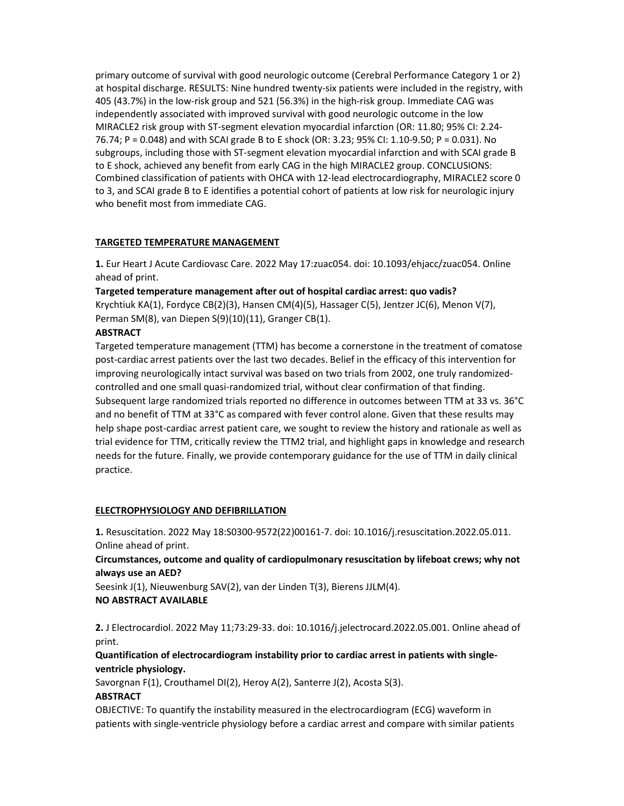primary outcome of survival with good neurologic outcome (Cerebral Performance Category 1 or 2) at hospital discharge. RESULTS: Nine hundred twenty-six patients were included in the registry, with 405 (43.7%) in the low-risk group and 521 (56.3%) in the high-risk group. Immediate CAG was independently associated with improved survival with good neurologic outcome in the low MIRACLE2 risk group with ST-segment elevation myocardial infarction (OR: 11.80; 95% CI: 2.24- 76.74; P = 0.048) and with SCAI grade B to E shock (OR: 3.23; 95% CI: 1.10-9.50; P = 0.031). No subgroups, including those with ST-segment elevation myocardial infarction and with SCAI grade B to E shock, achieved any benefit from early CAG in the high MIRACLE2 group. CONCLUSIONS: Combined classification of patients with OHCA with 12-lead electrocardiography, MIRACLE2 score 0 to 3, and SCAI grade B to E identifies a potential cohort of patients at low risk for neurologic injury who benefit most from immediate CAG.

# TARGETED TEMPERATURE MANAGEMENT

1. Eur Heart J Acute Cardiovasc Care. 2022 May 17:zuac054. doi: 10.1093/ehjacc/zuac054. Online ahead of print.

Targeted temperature management after out of hospital cardiac arrest: quo vadis? Krychtiuk KA(1), Fordyce CB(2)(3), Hansen CM(4)(5), Hassager C(5), Jentzer JC(6), Menon V(7), Perman SM(8), van Diepen S(9)(10)(11), Granger CB(1).

# **ABSTRACT**

Targeted temperature management (TTM) has become a cornerstone in the treatment of comatose post-cardiac arrest patients over the last two decades. Belief in the efficacy of this intervention for improving neurologically intact survival was based on two trials from 2002, one truly randomizedcontrolled and one small quasi-randomized trial, without clear confirmation of that finding. Subsequent large randomized trials reported no difference in outcomes between TTM at 33 vs. 36°C and no benefit of TTM at 33°C as compared with fever control alone. Given that these results may help shape post-cardiac arrest patient care, we sought to review the history and rationale as well as trial evidence for TTM, critically review the TTM2 trial, and highlight gaps in knowledge and research needs for the future. Finally, we provide contemporary guidance for the use of TTM in daily clinical practice.

# ELECTROPHYSIOLOGY AND DEFIBRILLATION

1. Resuscitation. 2022 May 18:S0300-9572(22)00161-7. doi: 10.1016/j.resuscitation.2022.05.011. Online ahead of print.

Circumstances, outcome and quality of cardiopulmonary resuscitation by lifeboat crews; why not always use an AED?

Seesink J(1), Nieuwenburg SAV(2), van der Linden T(3), Bierens JJLM(4). NO ABSTRACT AVAILABLE

2. J Electrocardiol. 2022 May 11;73:29-33. doi: 10.1016/j.jelectrocard.2022.05.001. Online ahead of print.

# Quantification of electrocardiogram instability prior to cardiac arrest in patients with singleventricle physiology.

Savorgnan F(1), Crouthamel DI(2), Heroy A(2), Santerre J(2), Acosta S(3).

# ABSTRACT

OBJECTIVE: To quantify the instability measured in the electrocardiogram (ECG) waveform in patients with single-ventricle physiology before a cardiac arrest and compare with similar patients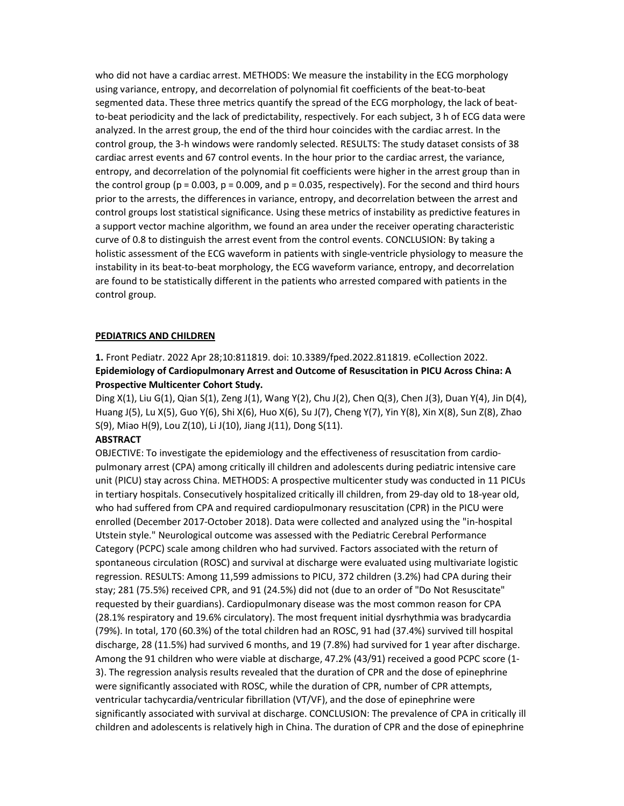who did not have a cardiac arrest. METHODS: We measure the instability in the ECG morphology using variance, entropy, and decorrelation of polynomial fit coefficients of the beat-to-beat segmented data. These three metrics quantify the spread of the ECG morphology, the lack of beatto-beat periodicity and the lack of predictability, respectively. For each subject, 3 h of ECG data were analyzed. In the arrest group, the end of the third hour coincides with the cardiac arrest. In the control group, the 3-h windows were randomly selected. RESULTS: The study dataset consists of 38 cardiac arrest events and 67 control events. In the hour prior to the cardiac arrest, the variance, entropy, and decorrelation of the polynomial fit coefficients were higher in the arrest group than in the control group ( $p = 0.003$ ,  $p = 0.009$ , and  $p = 0.035$ , respectively). For the second and third hours prior to the arrests, the differences in variance, entropy, and decorrelation between the arrest and control groups lost statistical significance. Using these metrics of instability as predictive features in a support vector machine algorithm, we found an area under the receiver operating characteristic curve of 0.8 to distinguish the arrest event from the control events. CONCLUSION: By taking a holistic assessment of the ECG waveform in patients with single-ventricle physiology to measure the instability in its beat-to-beat morphology, the ECG waveform variance, entropy, and decorrelation are found to be statistically different in the patients who arrested compared with patients in the control group.

#### PEDIATRICS AND CHILDREN

1. Front Pediatr. 2022 Apr 28;10:811819. doi: 10.3389/fped.2022.811819. eCollection 2022. Epidemiology of Cardiopulmonary Arrest and Outcome of Resuscitation in PICU Across China: A Prospective Multicenter Cohort Study.

Ding X(1), Liu G(1), Qian S(1), Zeng J(1), Wang Y(2), Chu J(2), Chen Q(3), Chen J(3), Duan Y(4), Jin D(4), Huang J(5), Lu X(5), Guo Y(6), Shi X(6), Huo X(6), Su J(7), Cheng Y(7), Yin Y(8), Xin X(8), Sun Z(8), Zhao S(9), Miao H(9), Lou Z(10), Li J(10), Jiang J(11), Dong S(11).

# **ABSTRACT**

OBJECTIVE: To investigate the epidemiology and the effectiveness of resuscitation from cardiopulmonary arrest (CPA) among critically ill children and adolescents during pediatric intensive care unit (PICU) stay across China. METHODS: A prospective multicenter study was conducted in 11 PICUs in tertiary hospitals. Consecutively hospitalized critically ill children, from 29-day old to 18-year old, who had suffered from CPA and required cardiopulmonary resuscitation (CPR) in the PICU were enrolled (December 2017-October 2018). Data were collected and analyzed using the "in-hospital Utstein style." Neurological outcome was assessed with the Pediatric Cerebral Performance Category (PCPC) scale among children who had survived. Factors associated with the return of spontaneous circulation (ROSC) and survival at discharge were evaluated using multivariate logistic regression. RESULTS: Among 11,599 admissions to PICU, 372 children (3.2%) had CPA during their stay; 281 (75.5%) received CPR, and 91 (24.5%) did not (due to an order of "Do Not Resuscitate" requested by their guardians). Cardiopulmonary disease was the most common reason for CPA (28.1% respiratory and 19.6% circulatory). The most frequent initial dysrhythmia was bradycardia (79%). In total, 170 (60.3%) of the total children had an ROSC, 91 had (37.4%) survived till hospital discharge, 28 (11.5%) had survived 6 months, and 19 (7.8%) had survived for 1 year after discharge. Among the 91 children who were viable at discharge, 47.2% (43/91) received a good PCPC score (1- 3). The regression analysis results revealed that the duration of CPR and the dose of epinephrine were significantly associated with ROSC, while the duration of CPR, number of CPR attempts, ventricular tachycardia/ventricular fibrillation (VT/VF), and the dose of epinephrine were significantly associated with survival at discharge. CONCLUSION: The prevalence of CPA in critically ill children and adolescents is relatively high in China. The duration of CPR and the dose of epinephrine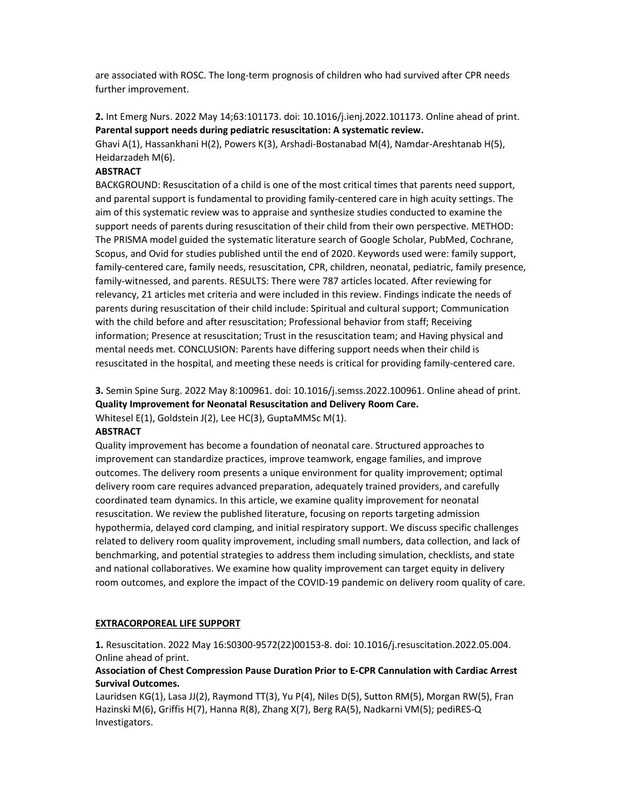are associated with ROSC. The long-term prognosis of children who had survived after CPR needs further improvement.

2. Int Emerg Nurs. 2022 May 14;63:101173. doi: 10.1016/j.ienj.2022.101173. Online ahead of print. Parental support needs during pediatric resuscitation: A systematic review.

Ghavi A(1), Hassankhani H(2), Powers K(3), Arshadi-Bostanabad M(4), Namdar-Areshtanab H(5), Heidarzadeh M(6).

# **ABSTRACT**

BACKGROUND: Resuscitation of a child is one of the most critical times that parents need support, and parental support is fundamental to providing family-centered care in high acuity settings. The aim of this systematic review was to appraise and synthesize studies conducted to examine the support needs of parents during resuscitation of their child from their own perspective. METHOD: The PRISMA model guided the systematic literature search of Google Scholar, PubMed, Cochrane, Scopus, and Ovid for studies published until the end of 2020. Keywords used were: family support, family-centered care, family needs, resuscitation, CPR, children, neonatal, pediatric, family presence, family-witnessed, and parents. RESULTS: There were 787 articles located. After reviewing for relevancy, 21 articles met criteria and were included in this review. Findings indicate the needs of parents during resuscitation of their child include: Spiritual and cultural support; Communication with the child before and after resuscitation; Professional behavior from staff; Receiving information; Presence at resuscitation; Trust in the resuscitation team; and Having physical and mental needs met. CONCLUSION: Parents have differing support needs when their child is resuscitated in the hospital, and meeting these needs is critical for providing family-centered care.

3. Semin Spine Surg. 2022 May 8:100961. doi: 10.1016/j.semss.2022.100961. Online ahead of print. Quality Improvement for Neonatal Resuscitation and Delivery Room Care.

Whitesel E(1), Goldstein J(2), Lee HC(3), GuptaMMSc M(1).

## ABSTRACT

Quality improvement has become a foundation of neonatal care. Structured approaches to improvement can standardize practices, improve teamwork, engage families, and improve outcomes. The delivery room presents a unique environment for quality improvement; optimal delivery room care requires advanced preparation, adequately trained providers, and carefully coordinated team dynamics. In this article, we examine quality improvement for neonatal resuscitation. We review the published literature, focusing on reports targeting admission hypothermia, delayed cord clamping, and initial respiratory support. We discuss specific challenges related to delivery room quality improvement, including small numbers, data collection, and lack of benchmarking, and potential strategies to address them including simulation, checklists, and state and national collaboratives. We examine how quality improvement can target equity in delivery room outcomes, and explore the impact of the COVID-19 pandemic on delivery room quality of care.

## EXTRACORPOREAL LIFE SUPPORT

1. Resuscitation. 2022 May 16:S0300-9572(22)00153-8. doi: 10.1016/j.resuscitation.2022.05.004. Online ahead of print.

# Association of Chest Compression Pause Duration Prior to E-CPR Cannulation with Cardiac Arrest Survival Outcomes.

Lauridsen KG(1), Lasa JJ(2), Raymond TT(3), Yu P(4), Niles D(5), Sutton RM(5), Morgan RW(5), Fran Hazinski M(6), Griffis H(7), Hanna R(8), Zhang X(7), Berg RA(5), Nadkarni VM(5); pediRES-Q Investigators.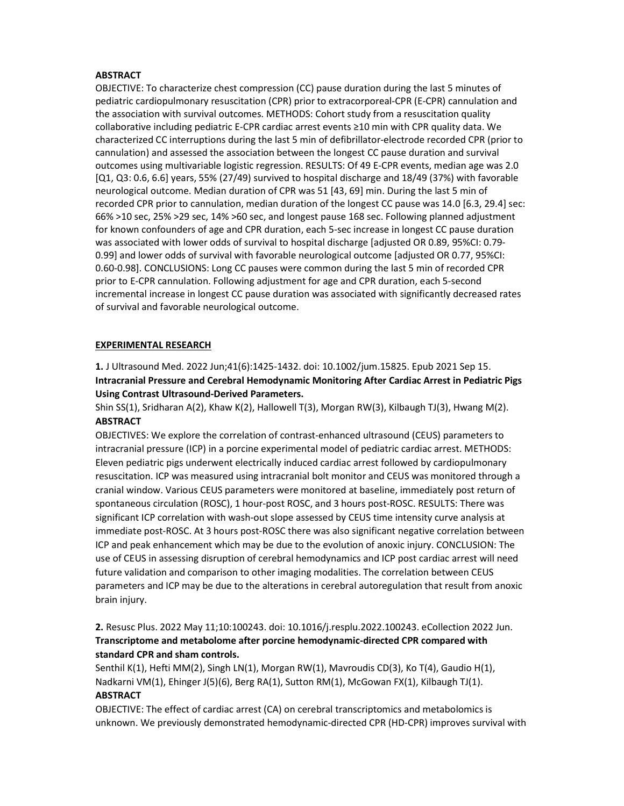# **ABSTRACT**

OBJECTIVE: To characterize chest compression (CC) pause duration during the last 5 minutes of pediatric cardiopulmonary resuscitation (CPR) prior to extracorporeal-CPR (E-CPR) cannulation and the association with survival outcomes. METHODS: Cohort study from a resuscitation quality collaborative including pediatric E-CPR cardiac arrest events ≥10 min with CPR quality data. We characterized CC interruptions during the last 5 min of defibrillator-electrode recorded CPR (prior to cannulation) and assessed the association between the longest CC pause duration and survival outcomes using multivariable logistic regression. RESULTS: Of 49 E-CPR events, median age was 2.0 [Q1, Q3: 0.6, 6.6] years, 55% (27/49) survived to hospital discharge and 18/49 (37%) with favorable neurological outcome. Median duration of CPR was 51 [43, 69] min. During the last 5 min of recorded CPR prior to cannulation, median duration of the longest CC pause was 14.0 [6.3, 29.4] sec: 66% >10 sec, 25% >29 sec, 14% >60 sec, and longest pause 168 sec. Following planned adjustment for known confounders of age and CPR duration, each 5-sec increase in longest CC pause duration was associated with lower odds of survival to hospital discharge [adjusted OR 0.89, 95%CI: 0.79- 0.99] and lower odds of survival with favorable neurological outcome [adjusted OR 0.77, 95%CI: 0.60-0.98]. CONCLUSIONS: Long CC pauses were common during the last 5 min of recorded CPR prior to E-CPR cannulation. Following adjustment for age and CPR duration, each 5-second incremental increase in longest CC pause duration was associated with significantly decreased rates of survival and favorable neurological outcome.

# EXPERIMENTAL RESEARCH

1. J Ultrasound Med. 2022 Jun;41(6):1425-1432. doi: 10.1002/jum.15825. Epub 2021 Sep 15. Intracranial Pressure and Cerebral Hemodynamic Monitoring After Cardiac Arrest in Pediatric Pigs Using Contrast Ultrasound-Derived Parameters.

Shin SS(1), Sridharan A(2), Khaw K(2), Hallowell T(3), Morgan RW(3), Kilbaugh TJ(3), Hwang M(2). ABSTRACT

OBJECTIVES: We explore the correlation of contrast-enhanced ultrasound (CEUS) parameters to intracranial pressure (ICP) in a porcine experimental model of pediatric cardiac arrest. METHODS: Eleven pediatric pigs underwent electrically induced cardiac arrest followed by cardiopulmonary resuscitation. ICP was measured using intracranial bolt monitor and CEUS was monitored through a cranial window. Various CEUS parameters were monitored at baseline, immediately post return of spontaneous circulation (ROSC), 1 hour-post ROSC, and 3 hours post-ROSC. RESULTS: There was significant ICP correlation with wash-out slope assessed by CEUS time intensity curve analysis at immediate post-ROSC. At 3 hours post-ROSC there was also significant negative correlation between ICP and peak enhancement which may be due to the evolution of anoxic injury. CONCLUSION: The use of CEUS in assessing disruption of cerebral hemodynamics and ICP post cardiac arrest will need future validation and comparison to other imaging modalities. The correlation between CEUS parameters and ICP may be due to the alterations in cerebral autoregulation that result from anoxic brain injury.

2. Resusc Plus. 2022 May 11;10:100243. doi: 10.1016/j.resplu.2022.100243. eCollection 2022 Jun. Transcriptome and metabolome after porcine hemodynamic-directed CPR compared with standard CPR and sham controls.

Senthil K(1), Hefti MM(2), Singh LN(1), Morgan RW(1), Mavroudis CD(3), Ko T(4), Gaudio H(1), Nadkarni VM(1), Ehinger J(5)(6), Berg RA(1), Sutton RM(1), McGowan FX(1), Kilbaugh TJ(1). **ABSTRACT** 

OBJECTIVE: The effect of cardiac arrest (CA) on cerebral transcriptomics and metabolomics is unknown. We previously demonstrated hemodynamic-directed CPR (HD-CPR) improves survival with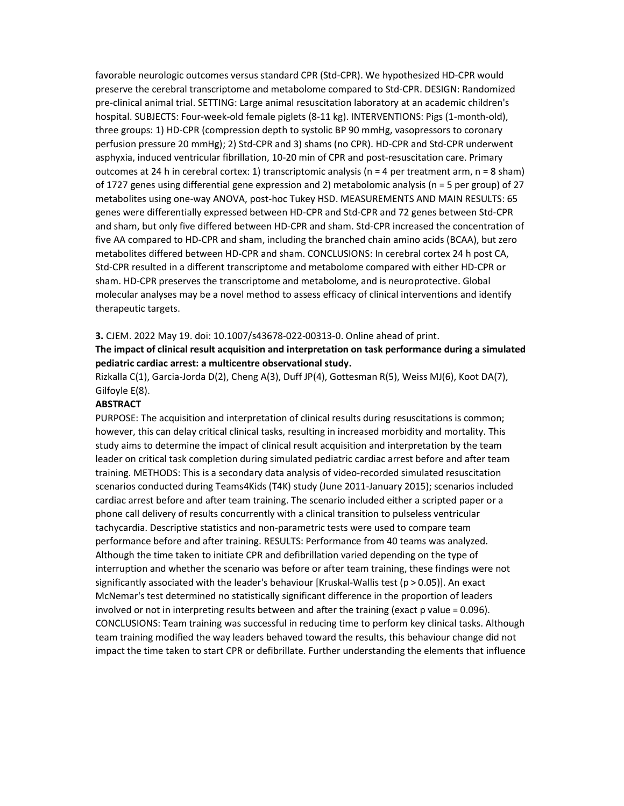favorable neurologic outcomes versus standard CPR (Std-CPR). We hypothesized HD-CPR would preserve the cerebral transcriptome and metabolome compared to Std-CPR. DESIGN: Randomized pre-clinical animal trial. SETTING: Large animal resuscitation laboratory at an academic children's hospital. SUBJECTS: Four-week-old female piglets (8-11 kg). INTERVENTIONS: Pigs (1-month-old), three groups: 1) HD-CPR (compression depth to systolic BP 90 mmHg, vasopressors to coronary perfusion pressure 20 mmHg); 2) Std-CPR and 3) shams (no CPR). HD-CPR and Std-CPR underwent asphyxia, induced ventricular fibrillation, 10-20 min of CPR and post-resuscitation care. Primary outcomes at 24 h in cerebral cortex: 1) transcriptomic analysis (n = 4 per treatment arm, n = 8 sham) of 1727 genes using differential gene expression and 2) metabolomic analysis (n = 5 per group) of 27 metabolites using one-way ANOVA, post-hoc Tukey HSD. MEASUREMENTS AND MAIN RESULTS: 65 genes were differentially expressed between HD-CPR and Std-CPR and 72 genes between Std-CPR and sham, but only five differed between HD-CPR and sham. Std-CPR increased the concentration of five AA compared to HD-CPR and sham, including the branched chain amino acids (BCAA), but zero metabolites differed between HD-CPR and sham. CONCLUSIONS: In cerebral cortex 24 h post CA, Std-CPR resulted in a different transcriptome and metabolome compared with either HD-CPR or sham. HD-CPR preserves the transcriptome and metabolome, and is neuroprotective. Global molecular analyses may be a novel method to assess efficacy of clinical interventions and identify therapeutic targets.

#### 3. CJEM. 2022 May 19. doi: 10.1007/s43678-022-00313-0. Online ahead of print.

The impact of clinical result acquisition and interpretation on task performance during a simulated pediatric cardiac arrest: a multicentre observational study.

Rizkalla C(1), Garcia-Jorda D(2), Cheng A(3), Duff JP(4), Gottesman R(5), Weiss MJ(6), Koot DA(7), Gilfoyle E(8).

# **ABSTRACT**

PURPOSE: The acquisition and interpretation of clinical results during resuscitations is common; however, this can delay critical clinical tasks, resulting in increased morbidity and mortality. This study aims to determine the impact of clinical result acquisition and interpretation by the team leader on critical task completion during simulated pediatric cardiac arrest before and after team training. METHODS: This is a secondary data analysis of video-recorded simulated resuscitation scenarios conducted during Teams4Kids (T4K) study (June 2011-January 2015); scenarios included cardiac arrest before and after team training. The scenario included either a scripted paper or a phone call delivery of results concurrently with a clinical transition to pulseless ventricular tachycardia. Descriptive statistics and non-parametric tests were used to compare team performance before and after training. RESULTS: Performance from 40 teams was analyzed. Although the time taken to initiate CPR and defibrillation varied depending on the type of interruption and whether the scenario was before or after team training, these findings were not significantly associated with the leader's behaviour [Kruskal-Wallis test (p > 0.05)]. An exact McNemar's test determined no statistically significant difference in the proportion of leaders involved or not in interpreting results between and after the training (exact p value = 0.096). CONCLUSIONS: Team training was successful in reducing time to perform key clinical tasks. Although team training modified the way leaders behaved toward the results, this behaviour change did not impact the time taken to start CPR or defibrillate. Further understanding the elements that influence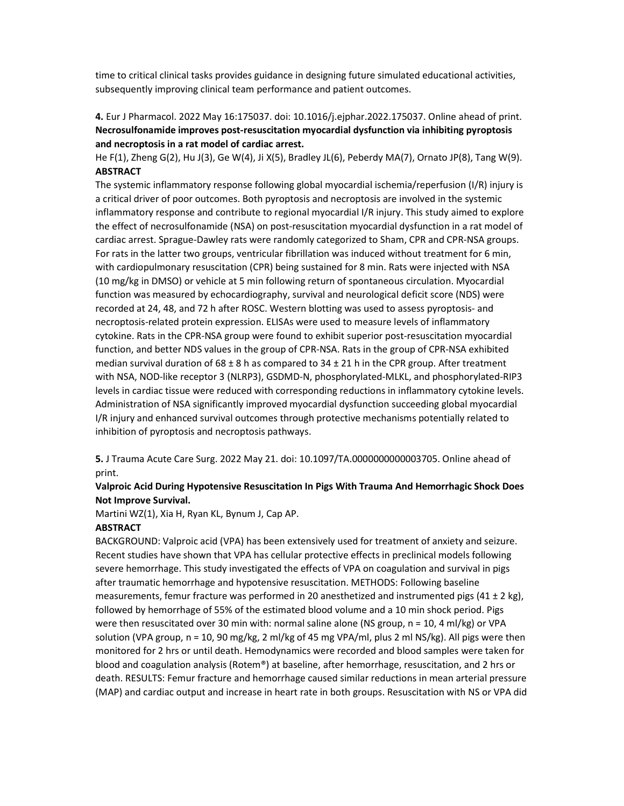time to critical clinical tasks provides guidance in designing future simulated educational activities, subsequently improving clinical team performance and patient outcomes.

4. Eur J Pharmacol. 2022 May 16:175037. doi: 10.1016/j.ejphar.2022.175037. Online ahead of print. Necrosulfonamide improves post-resuscitation myocardial dysfunction via inhibiting pyroptosis and necroptosis in a rat model of cardiac arrest.

He F(1), Zheng G(2), Hu J(3), Ge W(4), Ji X(5), Bradley JL(6), Peberdy MA(7), Ornato JP(8), Tang W(9). **ABSTRACT** 

The systemic inflammatory response following global myocardial ischemia/reperfusion (I/R) injury is a critical driver of poor outcomes. Both pyroptosis and necroptosis are involved in the systemic inflammatory response and contribute to regional myocardial I/R injury. This study aimed to explore the effect of necrosulfonamide (NSA) on post-resuscitation myocardial dysfunction in a rat model of cardiac arrest. Sprague-Dawley rats were randomly categorized to Sham, CPR and CPR-NSA groups. For rats in the latter two groups, ventricular fibrillation was induced without treatment for 6 min, with cardiopulmonary resuscitation (CPR) being sustained for 8 min. Rats were injected with NSA (10 mg/kg in DMSO) or vehicle at 5 min following return of spontaneous circulation. Myocardial function was measured by echocardiography, survival and neurological deficit score (NDS) were recorded at 24, 48, and 72 h after ROSC. Western blotting was used to assess pyroptosis- and necroptosis-related protein expression. ELISAs were used to measure levels of inflammatory cytokine. Rats in the CPR-NSA group were found to exhibit superior post-resuscitation myocardial function, and better NDS values in the group of CPR-NSA. Rats in the group of CPR-NSA exhibited median survival duration of 68 ± 8 h as compared to 34 ± 21 h in the CPR group. After treatment with NSA, NOD-like receptor 3 (NLRP3), GSDMD-N, phosphorylated-MLKL, and phosphorylated-RIP3 levels in cardiac tissue were reduced with corresponding reductions in inflammatory cytokine levels. Administration of NSA significantly improved myocardial dysfunction succeeding global myocardial I/R injury and enhanced survival outcomes through protective mechanisms potentially related to inhibition of pyroptosis and necroptosis pathways.

5. J Trauma Acute Care Surg. 2022 May 21. doi: 10.1097/TA.0000000000003705. Online ahead of print.

# Valproic Acid During Hypotensive Resuscitation In Pigs With Trauma And Hemorrhagic Shock Does Not Improve Survival.

Martini WZ(1), Xia H, Ryan KL, Bynum J, Cap AP.

## ABSTRACT

BACKGROUND: Valproic acid (VPA) has been extensively used for treatment of anxiety and seizure. Recent studies have shown that VPA has cellular protective effects in preclinical models following severe hemorrhage. This study investigated the effects of VPA on coagulation and survival in pigs after traumatic hemorrhage and hypotensive resuscitation. METHODS: Following baseline measurements, femur fracture was performed in 20 anesthetized and instrumented pigs (41  $\pm$  2 kg), followed by hemorrhage of 55% of the estimated blood volume and a 10 min shock period. Pigs were then resuscitated over 30 min with: normal saline alone (NS group, n = 10, 4 ml/kg) or VPA solution (VPA group, n = 10, 90 mg/kg, 2 ml/kg of 45 mg VPA/ml, plus 2 ml NS/kg). All pigs were then monitored for 2 hrs or until death. Hemodynamics were recorded and blood samples were taken for blood and coagulation analysis (Rotem®) at baseline, after hemorrhage, resuscitation, and 2 hrs or death. RESULTS: Femur fracture and hemorrhage caused similar reductions in mean arterial pressure (MAP) and cardiac output and increase in heart rate in both groups. Resuscitation with NS or VPA did